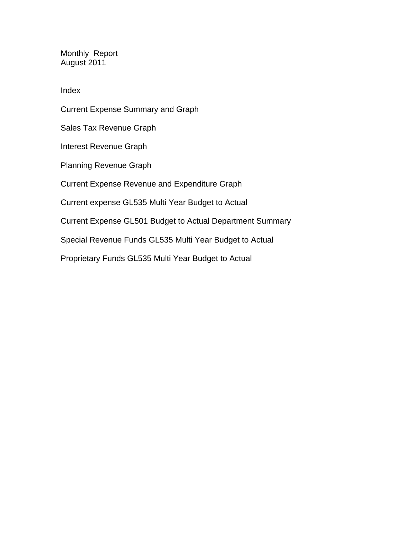Monthly Report August 2011

Index

Current Expense Summary and Graph Sales Tax Revenue Graph Interest Revenue Graph Planning Revenue Graph Current Expense Revenue and Expenditure Graph Current expense GL535 Multi Year Budget to Actual Current Expense GL501 Budget to Actual Department Summary Special Revenue Funds GL535 Multi Year Budget to Actual

Proprietary Funds GL535 Multi Year Budget to Actual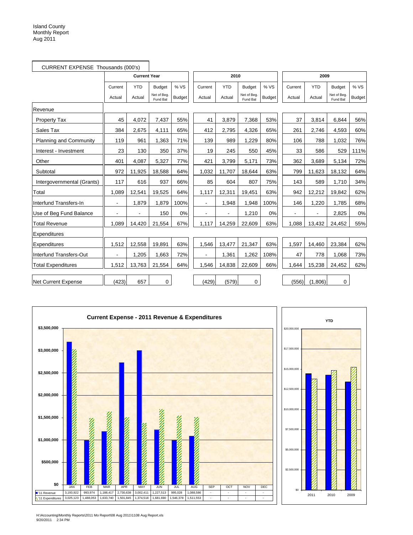| CURRENT EXPENSE Thousands (000's) |                |                          |                         |               |                |            |                         |               |                |                |                         |               |
|-----------------------------------|----------------|--------------------------|-------------------------|---------------|----------------|------------|-------------------------|---------------|----------------|----------------|-------------------------|---------------|
|                                   |                | <b>Current Year</b>      |                         | 2010          |                |            |                         | 2009          |                |                |                         |               |
|                                   | Current        | <b>YTD</b>               | <b>Budget</b>           | % VS          | Current        | <b>YTD</b> | <b>Budget</b>           | % VS          | Current        | <b>YTD</b>     | <b>Budget</b>           | % VS          |
|                                   | Actual         | Actual                   | Net of Beg.<br>Fund Bal | <b>Budget</b> | Actual         | Actual     | Net of Beg.<br>Fund Bal | <b>Budget</b> | Actual         | Actual         | Net of Beg.<br>Fund Bal | <b>Budget</b> |
| Revenue                           |                |                          |                         |               |                |            |                         |               |                |                |                         |               |
| <b>Property Tax</b>               | 45             | 4.072                    | 7,437                   | 55%           | 41             | 3,879      | 7,368                   | 53%           | 37             | 3,814          | 6.844                   | 56%           |
| Sales Tax                         | 384            | 2,675                    | 4,111                   | 65%           | 412            | 2,795      | 4,326                   | 65%           | 261            | 2,746          | 4,593                   | 60%           |
| Planning and Community            | 119            | 961                      | 1,363                   | 71%           | 139            | 989        | 1.229                   | 80%           | 106            | 788            | 1.032                   | 76%           |
| Interest - Investment             | 23             | 130                      | 350                     | 37%           | 19             | 245        | 550                     | 45%           | 33             | 586            | 529                     | 111%          |
| Other                             | 401            | 4,087                    | 5,327                   | 77%           | 421            | 3,799      | 5,171                   | 73%           | 362            | 3,689          | 5,134                   | 72%           |
| Subtotal                          | 972            | 11,925                   | 18,588                  | 64%           | 1,032          | 11,707     | 18,644                  | 63%           | 799            | 11,623         | 18,132                  | 64%           |
| Intergovernmental (Grants)        | 117            | 616                      | 937                     | 66%           | 85             | 604        | 807                     | 75%           | 143            | 589            | 1,710                   | 34%           |
| Total                             | 1,089          | 12,541                   | 19,525                  | 64%           | 1,117          | 12,311     | 19,451                  | 63%           | 942            | 12,212         | 19,842                  | 62%           |
| Interfund Transfers-In            | $\blacksquare$ | 1,879                    | 1,879                   | 100%          | $\blacksquare$ | 1,948      | 1,948                   | 100%          | 146            | 1,220          | 1.785                   | 68%           |
| Use of Beg Fund Balance           |                | $\overline{\phantom{a}}$ | 150                     | 0%            |                |            | 1,210                   | 0%            | $\blacksquare$ | $\blacksquare$ | 2,825                   | 0%            |
| <b>Total Revenue</b>              | 1,089          | 14,420                   | 21,554                  | 67%           | 1,117          | 14,259     | 22,609                  | 63%           | 1,088          | 13,432         | 24,452                  | 55%           |
| Expenditures                      |                |                          |                         |               |                |            |                         |               |                |                |                         |               |
| Expenditures                      | 1,512          | 12,558                   | 19,891                  | 63%           | 1,546          | 13,477     | 21,347                  | 63%           | 1,597          | 14,460         | 23,384                  | 62%           |
| Interfund Transfers-Out           | $\overline{a}$ | 1,205                    | 1,663                   | 72%           |                | 1,361      | 1,262                   | 108%          | 47             | 778            | 1,068                   | 73%           |
| <b>Total Expenditures</b>         | 1,512          | 13,763                   | 21,554                  | 64%           | 1,546          | 14,838     | 22,609                  | 66%           | 1,644          | 15,238         | 24,452                  | 62%           |
| <b>Net Current Expense</b>        | (423)          | 657                      | 0                       |               | (429)          | (579)      | 0                       |               | (556)          | (1,806)        | $\mathbf 0$             |               |



H:\Accounting\Monthly Reports\2011 Mo Report\08 Aug 2011\1108 Aug Report.xls 9/20/2011 2:34 PM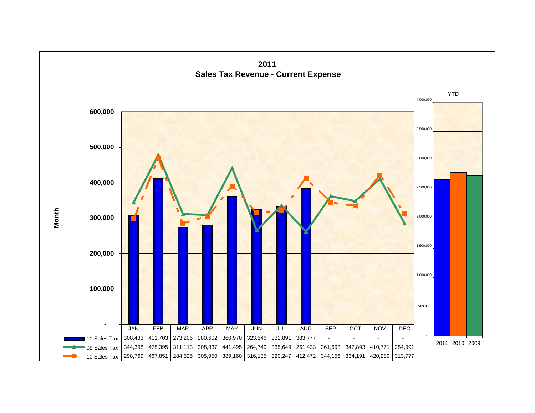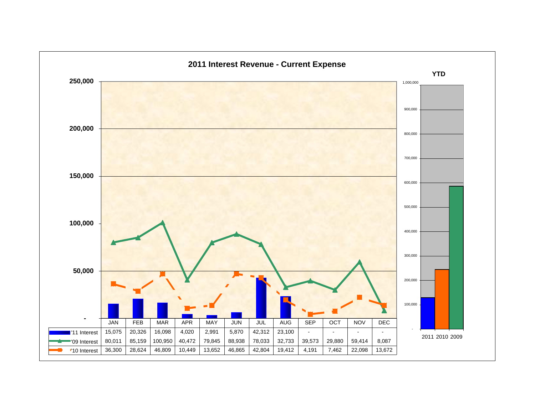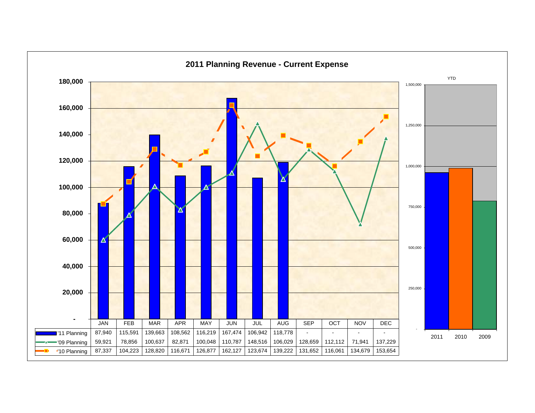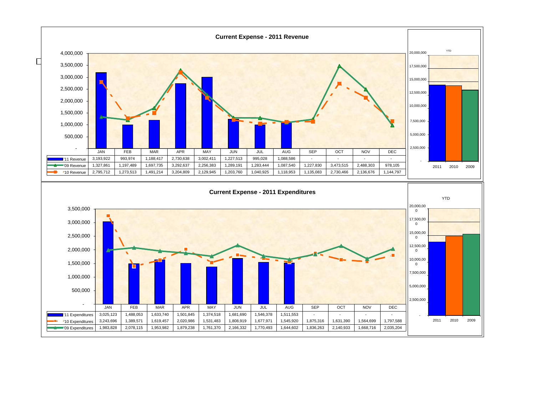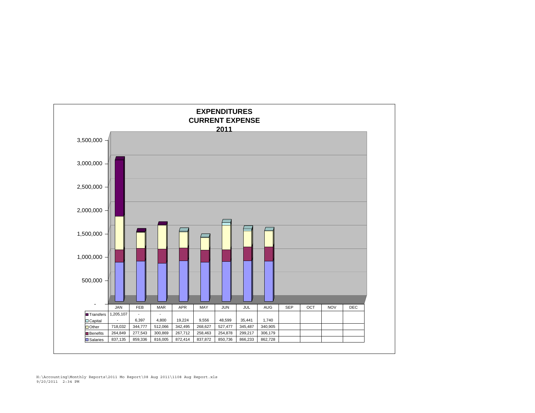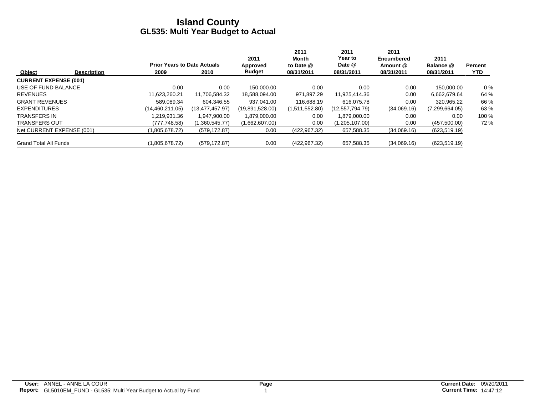|                              |                    |                                    |                   | 2011            | 2011<br>Month  | 2011<br>Year to | 2011<br><b>Encumbered</b> | 2011           |                |
|------------------------------|--------------------|------------------------------------|-------------------|-----------------|----------------|-----------------|---------------------------|----------------|----------------|
|                              |                    | <b>Prior Years to Date Actuals</b> |                   | Approved        | to Date @      | Date @          | Amount @                  | Balance @      | <b>Percent</b> |
| Object                       | <b>Description</b> | 2009                               | 2010              | <b>Budget</b>   | 08/31/2011     | 08/31/2011      | 08/31/2011                | 08/31/2011     | <b>YTD</b>     |
| <b>CURRENT EXPENSE (001)</b> |                    |                                    |                   |                 |                |                 |                           |                |                |
| USE OF FUND BALANCE          |                    | 0.00                               | 0.00              | 150.000.00      | 0.00           | 0.00            | 0.00                      | 150.000.00     | $0\%$          |
| <b>REVENUES</b>              |                    | 11,623,260.21                      | 11,706,584.32     | 18,588,094.00   | 971,897.29     | 11,925,414.36   | 0.00                      | 6,662,679.64   | 64 %           |
| <b>GRANT REVENUES</b>        |                    | 589.089.34                         | 604.346.55        | 937.041.00      | 116.688.19     | 616.075.78      | 0.00                      | 320.965.22     | 66 %           |
| <b>EXPENDITURES</b>          |                    | (14, 460, 211, 05)                 | (13, 477, 457.97) | (19,891,528.00) | (1,511,552.80) | (12,557,794.79) | (34,069.16)               | (7,299,664.05) | 63 %           |
| <b>TRANSFERS IN</b>          |                    | .219.931.36                        | 1.947.900.00      | 1,879,000.00    | 0.00           | 1.879.000.00    | 0.00                      | 0.00           | 100 %          |
| <b>TRANSFERS OUT</b>         |                    | (777,748.58)                       | (1,360,545.77)    | (1,662,607.00)  | 0.00           | (1,205,107.00)  | 0.00                      | (457,500.00)   | 72 %           |
| Net CURRENT EXPENSE (001)    |                    | (1.805.678.72)                     | (579, 172.87)     | 0.00            | (422, 967, 32) | 657,588.35      | (34,069.16)               | (623, 519.19)  |                |
| <b>Grand Total All Funds</b> |                    | (1,805,678.72)                     | (579, 172.87)     | 0.00            | (422, 967.32)  | 657,588.35      | (34,069.16)               | (623, 519.19)  |                |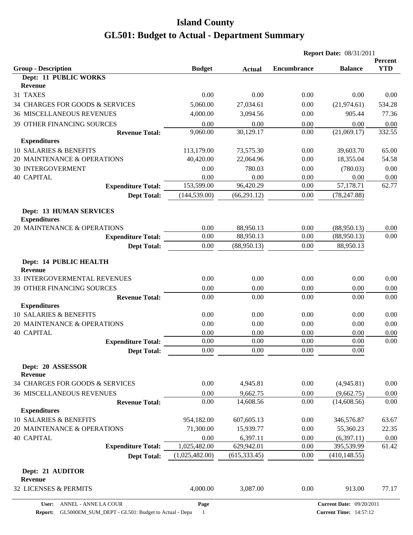|                                                       |                |               |                    | <b>Report Date: 08/31/2011</b>  |                       |  |
|-------------------------------------------------------|----------------|---------------|--------------------|---------------------------------|-----------------------|--|
| <b>Group - Description</b>                            | <b>Budget</b>  | <b>Actual</b> | <b>Encumbrance</b> | <b>Balance</b>                  | Percent<br><b>YTD</b> |  |
| Dept: 11 PUBLIC WORKS                                 |                |               |                    |                                 |                       |  |
| <b>Revenue</b>                                        |                |               |                    |                                 |                       |  |
| 31 TAXES                                              | 0.00           | 0.00          | 0.00               | 0.00                            | 0.00                  |  |
| 34 CHARGES FOR GOODS & SERVICES                       | 5,060.00       | 27,034.61     | 0.00               | (21, 974.61)                    | 534.28                |  |
| <b>36 MISCELLANEOUS REVENUES</b>                      | 4,000.00       | 3,094.56      | 0.00               | 905.44                          | 77.36                 |  |
| 39 OTHER FINANCING SOURCES                            | 0.00           | 0.00          | 0.00               | 0.00                            | 0.00                  |  |
| <b>Revenue Total:</b>                                 | 9,060.00       | 30,129.17     | 0.00               | (21,069.17)                     | 332.55                |  |
| <b>Expenditures</b>                                   |                |               |                    |                                 |                       |  |
| 10 SALARIES & BENEFITS                                | 113,179.00     | 73,575.30     | 0.00               | 39,603.70                       | 65.00                 |  |
| 20 MAINTENANCE & OPERATIONS                           | 40,420.00      | 22,064.96     | 0.00               | 18,355.04                       | 54.58                 |  |
| <b>30 INTERGOVERMENT</b>                              | 0.00           | 780.03        | 0.00               | (780.03)                        | 0.00                  |  |
| <b>40 CAPITAL</b>                                     | 0.00           | 0.00          | 0.00               | 0.00                            | 0.00                  |  |
| <b>Expenditure Total:</b>                             | 153,599.00     | 96,420.29     | 0.00               | 57,178.71                       | 62.77                 |  |
| <b>Dept Total:</b>                                    | (144, 539.00)  | (66, 291.12)  | 0.00               | (78, 247.88)                    |                       |  |
| <b>Dept: 13 HUMAN SERVICES</b><br><b>Expenditures</b> |                |               |                    |                                 |                       |  |
| 20 MAINTENANCE & OPERATIONS                           | 0.00           | 88,950.13     | 0.00               | (88,950.13)                     | 0.00                  |  |
| <b>Expenditure Total:</b>                             | 0.00           | 88,950.13     | 0.00               | (88,950.13)                     | 0.00                  |  |
| <b>Dept Total:</b>                                    | 0.00           | (88,950.13)   | 0.00               | 88,950.13                       |                       |  |
| Dept: 14 PUBLIC HEALTH<br>Revenue                     |                |               |                    |                                 |                       |  |
| 33 INTERGOVERMENTAL REVENUES                          | 0.00           | 0.00          | 0.00               | 0.00                            | 0.00                  |  |
| 39 OTHER FINANCING SOURCES                            | 0.00           | 0.00          | 0.00               | 0.00                            | 0.00                  |  |
| <b>Revenue Total:</b>                                 | 0.00           | 0.00          | 0.00               | 0.00                            | 0.00                  |  |
| <b>Expenditures</b>                                   |                |               |                    |                                 |                       |  |
| 10 SALARIES & BENEFITS                                | 0.00           | 0.00          | 0.00               | 0.00                            | 0.00                  |  |
| 20 MAINTENANCE & OPERATIONS                           | 0.00           | 0.00          | 0.00               | 0.00                            | 0.00                  |  |
| <b>40 CAPITAL</b>                                     | 0.00<br>0.00   | 0.00<br>0.00  | 0.00<br>0.00       | 0.00<br>0.00                    | 0.00<br>0.00          |  |
| <b>Expenditure Total:</b>                             |                |               |                    |                                 |                       |  |
| <b>Dept Total:</b>                                    | 0.00           | 0.00          | 0.00               | $0.00\,$                        |                       |  |
| Dept: 20 ASSESSOR<br><b>Revenue</b>                   |                |               |                    |                                 |                       |  |
| 34 CHARGES FOR GOODS & SERVICES                       | 0.00           | 4,945.81      | 0.00               | (4,945.81)                      | 0.00                  |  |
| <b>36 MISCELLANEOUS REVENUES</b>                      | 0.00           | 9,662.75      | 0.00               | (9,662.75)                      | 0.00                  |  |
| <b>Revenue Total:</b>                                 | 0.00           | 14,608.56     | 0.00               | (14, 608.56)                    | 0.00                  |  |
| <b>Expenditures</b>                                   |                |               |                    |                                 |                       |  |
| 10 SALARIES & BENEFITS                                | 954,182.00     | 607,605.13    | 0.00               | 346,576.87                      | 63.67                 |  |
| 20 MAINTENANCE & OPERATIONS                           | 71,300.00      | 15,939.77     | 0.00               | 55,360.23                       | 22.35                 |  |
| <b>40 CAPITAL</b>                                     | 0.00           | 6,397.11      | 0.00               | (6,397.11)                      | 0.00                  |  |
| <b>Expenditure Total:</b>                             | 1,025,482.00   | 629,942.01    | 0.00               | 395,539.99                      | 61.42                 |  |
| <b>Dept Total:</b>                                    | (1,025,482.00) | (615, 333.45) | 0.00               | (410, 148.55)                   |                       |  |
| Dept: 21 AUDITOR<br>Revenue                           |                |               |                    |                                 |                       |  |
| 32 LICENSES & PERMITS                                 | 4,000.00       | 3,087.00      | 0.00               | 913.00                          | 77.17                 |  |
| ANNEL - ANNE LA COUR<br>User:                         | Page           |               |                    | <b>Current Date: 09/20/2011</b> |                       |  |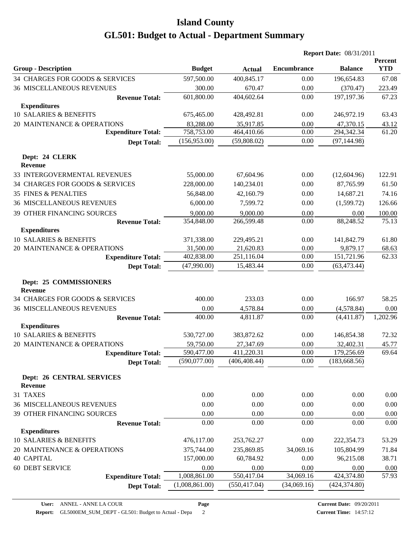|                                                    |                |               | <b>Report Date: 08/31/2011</b> |                |                       |
|----------------------------------------------------|----------------|---------------|--------------------------------|----------------|-----------------------|
| <b>Group - Description</b>                         | <b>Budget</b>  | <b>Actual</b> | <b>Encumbrance</b>             | <b>Balance</b> | Percent<br><b>YTD</b> |
| 34 CHARGES FOR GOODS & SERVICES                    | 597,500.00     | 400,845.17    | 0.00                           | 196,654.83     | 67.08                 |
| <b>36 MISCELLANEOUS REVENUES</b>                   | 300.00         | 670.47        | 0.00                           | (370.47)       | 223.49                |
| <b>Revenue Total:</b>                              | 601,800.00     | 404,602.64    | 0.00                           | 197, 197. 36   | 67.23                 |
| <b>Expenditures</b>                                |                |               |                                |                |                       |
| 10 SALARIES & BENEFITS                             | 675,465.00     | 428,492.81    | 0.00                           | 246,972.19     | 63.43                 |
| 20 MAINTENANCE & OPERATIONS                        | 83,288.00      | 35,917.85     | 0.00                           | 47,370.15      | 43.12                 |
| <b>Expenditure Total:</b>                          | 758,753.00     | 464,410.66    | 0.00                           | 294,342.34     | 61.20                 |
| <b>Dept Total:</b>                                 | (156,953.00)   | (59,808.02)   | 0.00                           | (97, 144.98)   |                       |
| Dept: 24 CLERK<br><b>Revenue</b>                   |                |               |                                |                |                       |
| 33 INTERGOVERMENTAL REVENUES                       | 55,000.00      | 67,604.96     | 0.00                           | (12,604.96)    | 122.91                |
| 34 CHARGES FOR GOODS & SERVICES                    | 228,000.00     | 140,234.01    | 0.00                           | 87,765.99      | 61.50                 |
| <b>35 FINES &amp; PENALTIES</b>                    | 56,848.00      | 42,160.79     | 0.00                           | 14,687.21      | 74.16                 |
| <b>36 MISCELLANEOUS REVENUES</b>                   | 6,000.00       | 7,599.72      | 0.00                           | (1,599.72)     | 126.66                |
| 39 OTHER FINANCING SOURCES                         | 9,000.00       | 9,000.00      | 0.00                           | 0.00           | 100.00                |
| <b>Revenue Total:</b>                              | 354,848.00     | 266,599.48    | 0.00                           | 88,248.52      | 75.13                 |
| <b>Expenditures</b>                                |                |               |                                |                |                       |
| 10 SALARIES & BENEFITS                             | 371,338.00     | 229,495.21    | 0.00                           | 141,842.79     | 61.80                 |
| 20 MAINTENANCE & OPERATIONS                        | 31,500.00      | 21,620.83     | 0.00                           | 9,879.17       | 68.63                 |
| <b>Expenditure Total:</b>                          | 402,838.00     | 251,116.04    | 0.00                           | 151,721.96     | 62.33                 |
| <b>Dept Total:</b>                                 | (47,990.00)    | 15,483.44     | 0.00                           | (63, 473.44)   |                       |
| Dept: 25 COMMISSIONERS<br><b>Revenue</b>           |                |               |                                |                |                       |
| 34 CHARGES FOR GOODS & SERVICES                    | 400.00         | 233.03        | 0.00                           | 166.97         | 58.25                 |
| <b>36 MISCELLANEOUS REVENUES</b>                   | 0.00           | 4,578.84      | 0.00                           | (4,578.84)     | 0.00                  |
| <b>Revenue Total:</b>                              | 400.00         | 4,811.87      | 0.00                           | (4,411.87)     | 1,202.96              |
| <b>Expenditures</b>                                |                |               |                                |                |                       |
| 10 SALARIES & BENEFITS                             | 530,727.00     | 383,872.62    | 0.00                           | 146,854.38     | 72.32                 |
| 20 MAINTENANCE & OPERATIONS                        | 59,750.00      | 27,347.69     | 0.00                           | 32,402.31      | 45.77                 |
| <b>Expenditure Total:</b>                          | 590,477.00     | 411,220.31    | $0.00\,$                       | 179,256.69     | 69.64                 |
| <b>Dept Total:</b>                                 | (590,077.00)   | (406, 408.44) | 0.00                           | (183, 668.56)  |                       |
| <b>Dept: 26 CENTRAL SERVICES</b><br><b>Revenue</b> |                |               |                                |                |                       |
| 31 TAXES                                           | 0.00           | 0.00          | 0.00                           | 0.00           | 0.00                  |
| <b>36 MISCELLANEOUS REVENUES</b>                   | 0.00           | 0.00          | 0.00                           | 0.00           | 0.00                  |
| 39 OTHER FINANCING SOURCES                         | 0.00           | 0.00          | 0.00                           | 0.00           | 0.00                  |
| <b>Revenue Total:</b>                              | 0.00           | 0.00          | 0.00                           | 0.00           | 0.00                  |
| <b>Expenditures</b>                                |                |               |                                |                |                       |
| 10 SALARIES & BENEFITS                             | 476,117.00     | 253,762.27    | 0.00                           | 222,354.73     | 53.29                 |
| 20 MAINTENANCE & OPERATIONS                        | 375,744.00     | 235,869.85    | 34,069.16                      | 105,804.99     | 71.84                 |
| <b>40 CAPITAL</b>                                  | 157,000.00     | 60,784.92     | 0.00                           | 96,215.08      | 38.71                 |
| 60 DEBT SERVICE                                    | 0.00           | 0.00          | 0.00                           | 0.00           | $0.00\,$              |
| <b>Expenditure Total:</b>                          | 1,008,861.00   | 550,417.04    | 34,069.16                      | 424,374.80     | 57.93                 |
| <b>Dept Total:</b>                                 | (1,008,861.00) | (550, 417.04) | (34,069.16)                    | (424, 374.80)  |                       |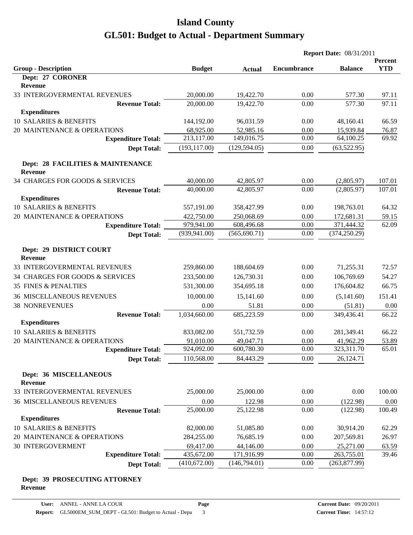|                                                     |               |               | <b>Report Date: 08/31/2011</b> |                |            |
|-----------------------------------------------------|---------------|---------------|--------------------------------|----------------|------------|
|                                                     |               |               |                                |                | Percent    |
| <b>Group - Description</b>                          | <b>Budget</b> | <b>Actual</b> | <b>Encumbrance</b>             | <b>Balance</b> | <b>YTD</b> |
| Dept: 27 CORONER<br><b>Revenue</b>                  |               |               |                                |                |            |
| 33 INTERGOVERMENTAL REVENUES                        | 20,000.00     | 19,422.70     | 0.00                           | 577.30         | 97.11      |
| <b>Revenue Total:</b>                               | 20,000.00     | 19,422.70     | 0.00                           | 577.30         | 97.11      |
| <b>Expenditures</b>                                 |               |               |                                |                |            |
| 10 SALARIES & BENEFITS                              | 144,192.00    | 96,031.59     | 0.00                           | 48,160.41      | 66.59      |
| 20 MAINTENANCE & OPERATIONS                         | 68,925.00     | 52,985.16     | 0.00                           | 15,939.84      | 76.87      |
| <b>Expenditure Total:</b>                           | 213,117.00    | 149,016.75    | 0.00                           | 64,100.25      | 69.92      |
| <b>Dept Total:</b>                                  | (193, 117.00) | (129, 594.05) | 0.00                           | (63,522.95)    |            |
| Dept: 28 FACILITIES & MAINTENANCE<br><b>Revenue</b> |               |               |                                |                |            |
| 34 CHARGES FOR GOODS & SERVICES                     | 40,000.00     | 42,805.97     | 0.00                           | (2,805.97)     | 107.01     |
| <b>Revenue Total:</b>                               | 40,000.00     | 42,805.97     | 0.00                           | (2,805.97)     | 107.01     |
| <b>Expenditures</b>                                 |               |               |                                |                |            |
| 10 SALARIES & BENEFITS                              | 557,191.00    | 358,427.99    | 0.00                           | 198,763.01     | 64.32      |
| 20 MAINTENANCE & OPERATIONS                         | 422,750.00    | 250,068.69    | 0.00                           | 172,681.31     | 59.15      |
| <b>Expenditure Total:</b>                           | 979,941.00    | 608,496.68    | 0.00                           | 371,444.32     | 62.09      |
| <b>Dept Total:</b>                                  | (939, 941.00) | (565, 690.71) | 0.00                           | (374, 250.29)  |            |
| Dept: 29 DISTRICT COURT<br><b>Revenue</b>           |               |               |                                |                |            |
| 33 INTERGOVERMENTAL REVENUES                        | 259,860.00    | 188,604.69    | 0.00                           | 71,255.31      | 72.57      |
| 34 CHARGES FOR GOODS & SERVICES                     | 233,500.00    | 126,730.31    | 0.00                           | 106,769.69     | 54.27      |
| <b>35 FINES &amp; PENALTIES</b>                     | 531,300.00    | 354,695.18    | 0.00                           | 176,604.82     | 66.75      |
| <b>36 MISCELLANEOUS REVENUES</b>                    | 10,000.00     | 15,141.60     | 0.00                           | (5,141.60)     | 151.41     |
| <b>38 NONREVENUES</b>                               | 0.00          | 51.81         | 0.00                           | (51.81)        | 0.00       |
| <b>Revenue Total:</b>                               | 1,034,660.00  | 685,223.59    | 0.00                           | 349,436.41     | 66.22      |
| <b>Expenditures</b>                                 |               |               |                                |                |            |
| 10 SALARIES & BENEFITS                              | 833,082.00    | 551,732.59    | 0.00                           | 281,349.41     | 66.22      |
| 20 MAINTENANCE & OPERATIONS                         | 91,010.00     | 49,047.71     | 0.00                           | 41,962.29      | 53.89      |
| <b>Expenditure Total:</b>                           | 924,092.00    | 600,780.30    | 0.00                           | 323,311.70     | 65.01      |
| <b>Dept Total:</b>                                  | 110,568.00    | 84,443.29     | 0.00                           | 26,124.71      |            |
| Dept: 36 MISCELLANEOUS<br><b>Revenue</b>            |               |               |                                |                |            |
| 33 INTERGOVERMENTAL REVENUES                        | 25,000.00     | 25,000.00     | 0.00                           | 0.00           | 100.00     |
| <b>36 MISCELLANEOUS REVENUES</b>                    | 0.00          | 122.98        | 0.00                           | (122.98)       | 0.00       |
| <b>Revenue Total:</b>                               | 25,000.00     | 25,122.98     | 0.00                           | (122.98)       | 100.49     |
| <b>Expenditures</b>                                 |               |               |                                |                |            |
| 10 SALARIES & BENEFITS                              | 82,000.00     | 51,085.80     | 0.00                           | 30,914.20      | 62.29      |
| 20 MAINTENANCE & OPERATIONS                         | 284,255.00    | 76,685.19     | 0.00                           | 207,569.81     | 26.97      |
| 30 INTERGOVERMENT                                   | 69,417.00     | 44,146.00     | 0.00                           | 25,271.00      | 63.59      |
| <b>Expenditure Total:</b>                           | 435,672.00    | 171,916.99    | 0.00                           | 263,755.01     | 39.46      |
| <b>Dept Total:</b>                                  | (410,672.00)  | (146,794.01)  | 0.00                           | (263, 877.99)  |            |

#### **Dept: 39 PROSECUTING ATTORNEY Revenue**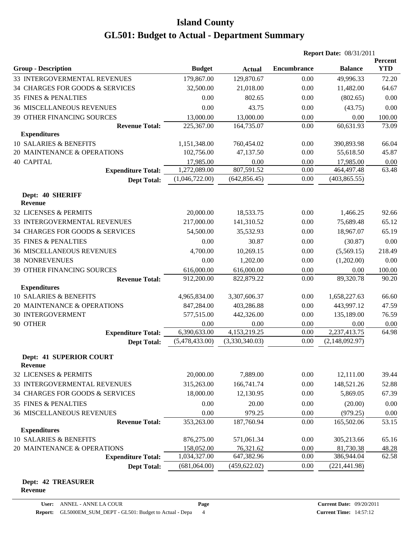|                                                       |                            |                         | <b>Report Date: 08/31/2011</b> |                         |                       |
|-------------------------------------------------------|----------------------------|-------------------------|--------------------------------|-------------------------|-----------------------|
| <b>Group - Description</b>                            | <b>Budget</b>              | <b>Actual</b>           | <b>Encumbrance</b>             | <b>Balance</b>          | Percent<br><b>YTD</b> |
| 33 INTERGOVERMENTAL REVENUES                          | 179,867.00                 | 129,870.67              | 0.00                           | 49,996.33               | 72.20                 |
| 34 CHARGES FOR GOODS & SERVICES                       | 32,500.00                  | 21,018.00               | 0.00                           | 11,482.00               | 64.67                 |
| <b>35 FINES &amp; PENALTIES</b>                       | 0.00                       | 802.65                  | 0.00                           | (802.65)                | 0.00                  |
| <b>36 MISCELLANEOUS REVENUES</b>                      | 0.00                       | 43.75                   | 0.00                           | (43.75)                 | 0.00                  |
| 39 OTHER FINANCING SOURCES                            | 13,000.00                  | 13,000.00               | 0.00                           | 0.00                    | 100.00                |
| <b>Revenue Total:</b>                                 | 225,367.00                 | 164,735.07              | 0.00                           | 60,631.93               | 73.09                 |
| <b>Expenditures</b>                                   |                            |                         |                                |                         |                       |
| <b>10 SALARIES &amp; BENEFITS</b>                     | 1,151,348.00               | 760,454.02              | 0.00                           | 390,893.98              | 66.04                 |
| 20 MAINTENANCE & OPERATIONS                           | 102,756.00                 | 47,137.50               | 0.00                           | 55,618.50               | 45.87                 |
| <b>40 CAPITAL</b>                                     | 17,985.00                  | 0.00                    | 0.00                           | 17,985.00               | 0.00                  |
| <b>Expenditure Total:</b>                             | 1,272,089.00               | 807,591.52              | 0.00                           | 464,497.48              | 63.48                 |
| <b>Dept Total:</b>                                    | (1,046,722.00)             | (642, 856.45)           | 0.00                           | (403, 865.55)           |                       |
| Dept: 40 SHERIFF<br><b>Revenue</b>                    |                            |                         |                                |                         |                       |
| 32 LICENSES & PERMITS                                 | 20,000.00                  | 18,533.75               | 0.00                           | 1,466.25                | 92.66                 |
| 33 INTERGOVERMENTAL REVENUES                          | 217,000.00                 | 141,310.52              | 0.00                           | 75,689.48               | 65.12                 |
| 34 CHARGES FOR GOODS & SERVICES                       | 54,500.00                  | 35,532.93               | 0.00                           | 18,967.07               | 65.19                 |
| <b>35 FINES &amp; PENALTIES</b>                       | 0.00                       | 30.87                   | 0.00                           | (30.87)                 | 0.00                  |
| <b>36 MISCELLANEOUS REVENUES</b>                      | 4,700.00                   | 10,269.15               | 0.00                           | (5,569.15)              | 218.49                |
| <b>38 NONREVENUES</b>                                 | 0.00                       | 1,202.00                | 0.00                           | (1,202.00)              | 0.00                  |
| 39 OTHER FINANCING SOURCES                            | 616,000.00                 | 616,000.00              | 0.00                           | $0.00\,$                | 100.00                |
| <b>Revenue Total:</b>                                 | 912,200.00                 | 822,879.22              | 0.00                           | 89,320.78               | 90.20                 |
| <b>Expenditures</b>                                   |                            |                         |                                |                         |                       |
| 10 SALARIES & BENEFITS                                | 4,965,834.00               | 3,307,606.37            | 0.00                           | 1,658,227.63            | 66.60                 |
| 20 MAINTENANCE & OPERATIONS                           | 847,284.00                 | 403,286.88              | 0.00                           | 443,997.12              | 47.59                 |
| <b>30 INTERGOVERMENT</b>                              | 577,515.00                 | 442,326.00              | 0.00                           | 135,189.00              | 76.59                 |
| 90 OTHER                                              | 0.00                       | 0.00                    | 0.00                           | 0.00                    | 0.00                  |
| <b>Expenditure Total:</b>                             | 6,390,633.00               | 4,153,219.25            | 0.00                           | 2,237,413.75            | 64.98                 |
| <b>Dept Total:</b>                                    | (5,478,433.00)             | (3,330,340.03)          | 0.00                           | (2,148,092.97)          |                       |
| <b>Dept: 41 SUPERIOR COURT</b><br><b>Revenue</b>      |                            |                         |                                |                         |                       |
| 32 LICENSES & PERMITS                                 | 20,000.00                  | 7,889.00                | 0.00                           | 12,111.00               | 39.44                 |
| 33 INTERGOVERMENTAL REVENUES                          | 315,263.00                 | 166,741.74              | 0.00                           | 148,521.26              | 52.88                 |
| 34 CHARGES FOR GOODS & SERVICES                       | 18,000.00                  | 12,130.95               | 0.00                           | 5,869.05                | 67.39                 |
| <b>35 FINES &amp; PENALTIES</b>                       | 0.00                       | 20.00                   | 0.00                           | (20.00)                 | 0.00                  |
| <b>36 MISCELLANEOUS REVENUES</b>                      | 0.00                       | 979.25                  | 0.00                           | (979.25)                | 0.00                  |
| <b>Revenue Total:</b>                                 | 353,263.00                 | 187,760.94              | 0.00                           | 165,502.06              | 53.15                 |
| <b>Expenditures</b>                                   |                            |                         |                                |                         |                       |
| 10 SALARIES & BENEFITS<br>20 MAINTENANCE & OPERATIONS | 876,275.00                 | 571,061.34              | 0.00<br>0.00                   | 305,213.66              | 65.16                 |
| <b>Expenditure Total:</b>                             | 158,052.00<br>1,034,327.00 | 76,321.62<br>647,382.96 | 0.00                           | 81,730.38<br>386,944.04 | 48.28<br>62.58        |
| <b>Dept Total:</b>                                    | (681,064.00)               | (459, 622.02)           | 0.00                           | (221, 441.98)           |                       |
|                                                       |                            |                         |                                |                         |                       |

#### **Dept: 42 TREASURER Revenue**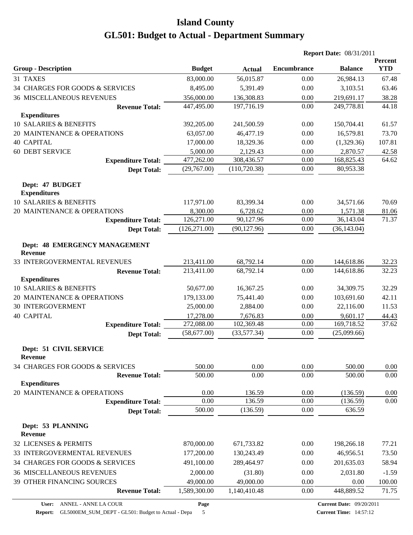|                                                        |               |               | <b>Report Date: 08/31/2011</b> |                |                       |
|--------------------------------------------------------|---------------|---------------|--------------------------------|----------------|-----------------------|
| <b>Group - Description</b>                             | <b>Budget</b> | <b>Actual</b> | <b>Encumbrance</b>             | <b>Balance</b> | Percent<br><b>YTD</b> |
| 31 TAXES                                               | 83,000.00     | 56,015.87     | 0.00                           | 26,984.13      | 67.48                 |
| 34 CHARGES FOR GOODS & SERVICES                        | 8,495.00      | 5,391.49      | 0.00                           | 3,103.51       | 63.46                 |
| <b>36 MISCELLANEOUS REVENUES</b>                       | 356,000.00    | 136,308.83    | 0.00                           | 219,691.17     | 38.28                 |
| <b>Revenue Total:</b>                                  | 447,495.00    | 197,716.19    | 0.00                           | 249,778.81     | 44.18                 |
| <b>Expenditures</b>                                    |               |               |                                |                |                       |
| 10 SALARIES & BENEFITS                                 | 392,205.00    | 241,500.59    | 0.00                           | 150,704.41     | 61.57                 |
| 20 MAINTENANCE & OPERATIONS                            | 63,057.00     | 46,477.19     | 0.00                           | 16,579.81      | 73.70                 |
| <b>40 CAPITAL</b>                                      | 17,000.00     | 18,329.36     | 0.00                           | (1,329.36)     | 107.81                |
| <b>60 DEBT SERVICE</b>                                 | 5,000.00      | 2,129.43      | 0.00                           | 2,870.57       | 42.58                 |
| <b>Expenditure Total:</b>                              | 477,262.00    | 308,436.57    | 0.00                           | 168,825.43     | 64.62                 |
| <b>Dept Total:</b>                                     | (29,767.00)   | (110, 720.38) | 0.00                           | 80,953.38      |                       |
| Dept: 47 BUDGET<br><b>Expenditures</b>                 |               |               |                                |                |                       |
| 10 SALARIES & BENEFITS                                 | 117,971.00    | 83,399.34     | 0.00                           | 34,571.66      | 70.69                 |
| 20 MAINTENANCE & OPERATIONS                            | 8,300.00      | 6,728.62      | 0.00                           | 1,571.38       | 81.06                 |
| <b>Expenditure Total:</b>                              | 126,271.00    | 90,127.96     | $0.00\,$                       | 36,143.04      | 71.37                 |
| <b>Dept Total:</b>                                     | (126, 271.00) | (90, 127.96)  | 0.00                           | (36, 143.04)   |                       |
| <b>Dept: 48 EMERGENCY MANAGEMENT</b><br><b>Revenue</b> |               |               |                                |                |                       |
| 33 INTERGOVERMENTAL REVENUES                           | 213,411.00    | 68,792.14     | 0.00                           | 144,618.86     | 32.23                 |
| <b>Revenue Total:</b>                                  | 213,411.00    | 68,792.14     | 0.00                           | 144,618.86     | 32.23                 |
| <b>Expenditures</b>                                    |               |               |                                |                |                       |
| 10 SALARIES & BENEFITS                                 | 50,677.00     | 16,367.25     | 0.00                           | 34,309.75      | 32.29                 |
| 20 MAINTENANCE & OPERATIONS                            | 179,133.00    | 75,441.40     | 0.00                           | 103,691.60     | 42.11                 |
| <b>30 INTERGOVERMENT</b>                               | 25,000.00     | 2,884.00      | 0.00                           | 22,116.00      | 11.53                 |
| <b>40 CAPITAL</b>                                      | 17,278.00     | 7,676.83      | 0.00                           | 9,601.17       | 44.43                 |
| <b>Expenditure Total:</b>                              | 272,088.00    | 102,369.48    | 0.00                           | 169,718.52     | 37.62                 |
| <b>Dept Total:</b>                                     | (58,677.00)   | (33,577.34)   | 0.00                           | (25,099.66)    |                       |
| Dept: 51 CIVIL SERVICE<br><b>Revenue</b>               |               |               |                                |                |                       |
| 34 CHARGES FOR GOODS & SERVICES                        | 500.00        | 0.00          | 0.00                           | 500.00         | 0.00                  |
| <b>Revenue Total:</b>                                  | 500.00        | 0.00          | 0.00                           | 500.00         | $0.00\,$              |
| <b>Expenditures</b>                                    |               |               |                                |                |                       |
| 20 MAINTENANCE & OPERATIONS                            | 0.00          | 136.59        | 0.00                           | (136.59)       | 0.00                  |
| <b>Expenditure Total:</b>                              | 0.00          | 136.59        | 0.00                           | (136.59)       | 0.00                  |
| <b>Dept Total:</b>                                     | 500.00        | (136.59)      | 0.00                           | 636.59         |                       |
| Dept: 53 PLANNING<br>Revenue                           |               |               |                                |                |                       |
| 32 LICENSES & PERMITS                                  | 870,000.00    | 671,733.82    | 0.00                           | 198,266.18     | 77.21                 |
| 33 INTERGOVERMENTAL REVENUES                           | 177,200.00    | 130,243.49    | 0.00                           | 46,956.51      | 73.50                 |
| 34 CHARGES FOR GOODS & SERVICES                        | 491,100.00    | 289,464.97    | 0.00                           | 201,635.03     | 58.94                 |
| <b>36 MISCELLANEOUS REVENUES</b>                       | 2,000.00      | (31.80)       | 0.00                           | 2,031.80       | $-1.59$               |
| 39 OTHER FINANCING SOURCES                             | 49,000.00     | 49,000.00     | 0.00                           | 0.00           | 100.00                |
| <b>Revenue Total:</b>                                  | 1,589,300.00  | 1,140,410.48  | 0.00                           | 448,889.52     | 71.75                 |
|                                                        |               |               |                                |                |                       |

**Report:** GL5000EM\_SUM\_DEPT - GL501: Budget to Actual - Depa 5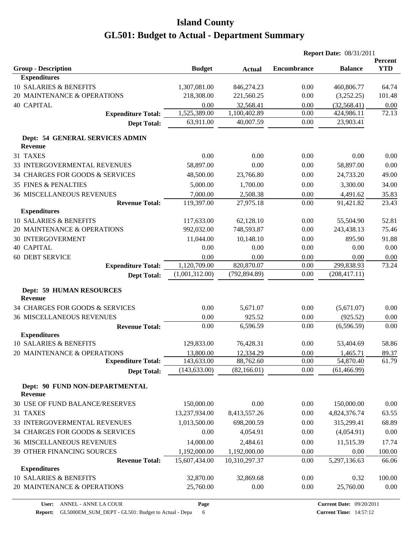|                                                   |                |               |                    | <b>Report Date: 08/31/2011</b> |                       |
|---------------------------------------------------|----------------|---------------|--------------------|--------------------------------|-----------------------|
| <b>Group - Description</b>                        | <b>Budget</b>  | <b>Actual</b> | <b>Encumbrance</b> | <b>Balance</b>                 | Percent<br><b>YTD</b> |
| <b>Expenditures</b>                               |                |               |                    |                                |                       |
| 10 SALARIES & BENEFITS                            | 1,307,081.00   | 846,274.23    | 0.00               | 460,806.77                     | 64.74                 |
| 20 MAINTENANCE & OPERATIONS                       | 218,308.00     | 221,560.25    | 0.00               | (3,252.25)                     | 101.48                |
| <b>40 CAPITAL</b>                                 | 0.00           | 32,568.41     | 0.00               | (32, 568.41)                   | 0.00                  |
| <b>Expenditure Total:</b>                         | 1,525,389.00   | 1,100,402.89  | 0.00               | 424,986.11                     | 72.13                 |
| <b>Dept Total:</b>                                | 63,911.00      | 40,007.59     | 0.00               | 23,903.41                      |                       |
| Dept: 54 GENERAL SERVICES ADMIN<br><b>Revenue</b> |                |               |                    |                                |                       |
| 31 TAXES                                          | 0.00           | 0.00          | 0.00               | 0.00                           | 0.00                  |
| 33 INTERGOVERMENTAL REVENUES                      | 58,897.00      | 0.00          | 0.00               | 58,897.00                      | 0.00                  |
| 34 CHARGES FOR GOODS & SERVICES                   | 48,500.00      | 23,766.80     | 0.00               | 24,733.20                      | 49.00                 |
| <b>35 FINES &amp; PENALTIES</b>                   | 5,000.00       | 1,700.00      | 0.00               | 3,300.00                       | 34.00                 |
| <b>36 MISCELLANEOUS REVENUES</b>                  | 7,000.00       | 2,508.38      | 0.00               | 4,491.62                       | 35.83                 |
| <b>Revenue Total:</b>                             | 119,397.00     | 27,975.18     | 0.00               | 91,421.82                      | 23.43                 |
| <b>Expenditures</b>                               |                |               |                    |                                |                       |
| 10 SALARIES & BENEFITS                            | 117,633.00     | 62,128.10     | 0.00               | 55,504.90                      | 52.81                 |
| 20 MAINTENANCE & OPERATIONS                       | 992,032.00     | 748,593.87    | 0.00               | 243,438.13                     | 75.46                 |
| <b>30 INTERGOVERMENT</b>                          | 11,044.00      | 10,148.10     | 0.00               | 895.90                         | 91.88                 |
| <b>40 CAPITAL</b>                                 | 0.00           | 0.00          | 0.00               | 0.00                           | 0.00                  |
| <b>60 DEBT SERVICE</b>                            | 0.00           | 0.00          | 0.00               | 0.00                           | 0.00                  |
| <b>Expenditure Total:</b>                         | 1,120,709.00   | 820,870.07    | 0.00               | 299,838.93                     | 73.24                 |
| <b>Dept Total:</b>                                | (1,001,312.00) | (792, 894.89) | 0.00               | (208, 417.11)                  |                       |
| <b>Dept: 59 HUMAN RESOURCES</b><br><b>Revenue</b> |                |               |                    |                                |                       |
| 34 CHARGES FOR GOODS & SERVICES                   | 0.00           | 5,671.07      | 0.00               | (5,671.07)                     | 0.00                  |
| <b>36 MISCELLANEOUS REVENUES</b>                  | 0.00           | 925.52        | 0.00               | (925.52)                       | 0.00                  |
| <b>Revenue Total:</b>                             | 0.00           | 6,596.59      | 0.00               | (6, 596.59)                    | 0.00                  |
| <b>Expenditures</b>                               |                |               |                    |                                |                       |
| 10 SALARIES & BENEFITS                            | 129,833.00     | 76,428.31     | 0.00               | 53,404.69                      | 58.86                 |
| 20 MAINTENANCE & OPERATIONS                       | 13,800.00      | 12,334.29     | $0.00\,$           | 1,465.71                       | 89.37                 |
| <b>Expenditure Total:</b>                         | 143,633.00     | 88,762.60     | 0.00               | 54,870.40                      | 61.79                 |
| <b>Dept Total:</b>                                | (143, 633.00)  | (82, 166.01)  | 0.00               | (61, 466.99)                   |                       |
| Dept: 90 FUND NON-DEPARTMENTAL<br><b>Revenue</b>  |                |               |                    |                                |                       |
| 30 USE OF FUND BALANCE/RESERVES                   | 150,000.00     | 0.00          | 0.00               | 150,000.00                     | 0.00                  |
| 31 TAXES                                          | 13,237,934.00  | 8,413,557.26  | 0.00               | 4,824,376.74                   | 63.55                 |
| 33 INTERGOVERMENTAL REVENUES                      | 1,013,500.00   | 698,200.59    | 0.00               | 315,299.41                     | 68.89                 |
| 34 CHARGES FOR GOODS & SERVICES                   | 0.00           | 4,054.91      | 0.00               | (4,054.91)                     | 0.00                  |
| 36 MISCELLANEOUS REVENUES                         | 14,000.00      | 2,484.61      | 0.00               | 11,515.39                      | 17.74                 |
| 39 OTHER FINANCING SOURCES                        | 1,192,000.00   | 1,192,000.00  | 0.00               | 0.00                           | 100.00                |
| <b>Revenue Total:</b>                             | 15,607,434.00  | 10,310,297.37 | 0.00               | 5,297,136.63                   | 66.06                 |
| <b>Expenditures</b>                               |                |               |                    |                                |                       |
| 10 SALARIES & BENEFITS                            | 32,870.00      | 32,869.68     | 0.00               | 0.32                           | 100.00                |
| 20 MAINTENANCE & OPERATIONS                       | 25,760.00      | 0.00          | 0.00               | 25,760.00                      | 0.00                  |

**Page**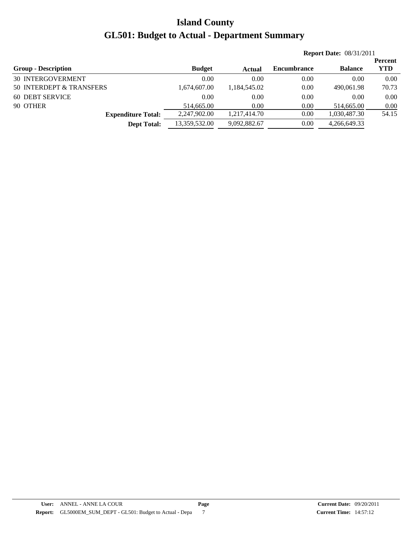|               |              |                    |                | <b>Percent</b>                 |
|---------------|--------------|--------------------|----------------|--------------------------------|
| <b>Budget</b> | Actual       | <b>Encumbrance</b> | <b>Balance</b> | <b>YTD</b>                     |
| 0.00          | 0.00         | 0.00               | 0.00           | 0.00                           |
| 1,674,607.00  | 1,184,545.02 | 0.00               | 490,061.98     | 70.73                          |
| 0.00          | 0.00         | 0.00               | 0.00           | 0.00                           |
| 514,665.00    | 0.00         | 0.00               | 514,665.00     | 0.00                           |
| 2,247,902.00  | 1.217.414.70 | 0.00               | 1,030,487.30   | 54.15                          |
| 13,359,532.00 | 9,092,882.67 | 0.00               | 4,266,649.33   |                                |
|               |              |                    |                | <b>Report Date: 08/31/2011</b> |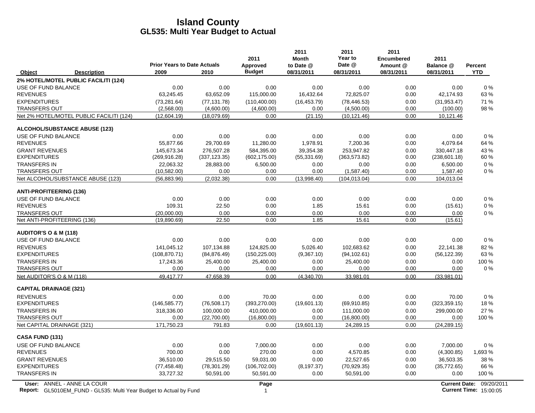|                                                                                                  | <b>Prior Years to Date Actuals</b> |               | 2011<br>Approved | 2011<br><b>Month</b><br>to Date @ | 2011<br>Year to<br>Date @ | 2011<br><b>Encumbered</b><br>Amount @ | 2011<br>Balance @ | <b>Percent</b>                                            |
|--------------------------------------------------------------------------------------------------|------------------------------------|---------------|------------------|-----------------------------------|---------------------------|---------------------------------------|-------------------|-----------------------------------------------------------|
| Object<br><b>Description</b>                                                                     | 2009                               | 2010          | <b>Budget</b>    | 08/31/2011                        | 08/31/2011                | 08/31/2011                            | 08/31/2011        | <b>YTD</b>                                                |
| 2% HOTEL/MOTEL PUBLIC FACILITI (124)                                                             |                                    |               |                  |                                   |                           |                                       |                   |                                                           |
| USE OF FUND BALANCE                                                                              | 0.00                               | 0.00          | 0.00             | 0.00                              | 0.00                      | 0.00                                  | 0.00              | 0%                                                        |
| <b>REVENUES</b>                                                                                  | 63,245.45                          | 63,652.09     | 115,000.00       | 16,432.64                         | 72,825.07                 | 0.00                                  | 42,174.93         | 63%                                                       |
| <b>EXPENDITURES</b>                                                                              | (73, 281.64)                       | (77, 131.78)  | (110, 400.00)    | (16, 453.79)                      | (78, 446.53)              | 0.00                                  | (31, 953.47)      | 71%                                                       |
| <b>TRANSFERS OUT</b>                                                                             | (2,568.00)                         | (4,600.00)    | (4,600.00)       | 0.00                              | (4,500.00)                | 0.00                                  | (100.00)          | 98%                                                       |
| Net 2% HOTEL/MOTEL PUBLIC FACILITI (124)                                                         | (12,604.19)                        | (18,079.69)   | 0.00             | (21.15)                           | (10, 121.46)              | 0.00                                  | 10,121.46         |                                                           |
| <b>ALCOHOL/SUBSTANCE ABUSE (123)</b>                                                             |                                    |               |                  |                                   |                           |                                       |                   |                                                           |
| USE OF FUND BALANCE                                                                              | 0.00                               | 0.00          | 0.00             | 0.00                              | 0.00                      | 0.00                                  | 0.00              | 0%                                                        |
| <b>REVENUES</b>                                                                                  | 55,877.66                          | 29,700.69     | 11,280.00        | 1,978.91                          | 7,200.36                  | 0.00                                  | 4,079.64          | 64 %                                                      |
| <b>GRANT REVENUES</b>                                                                            | 145.673.34                         | 276.507.28    | 584.395.00       | 39.354.38                         | 253.947.82                | 0.00                                  | 330.447.18        | 43 %                                                      |
| <b>EXPENDITURES</b>                                                                              | (269,916.28)                       | (337, 123.35) | (602, 175.00)    | (55, 331.69)                      | (363, 573.82)             | 0.00                                  | (238, 601.18)     | 60%                                                       |
| <b>TRANSFERS IN</b>                                                                              | 22,063.32                          | 28,883.00     | 6,500.00         | 0.00                              | 0.00                      | 0.00                                  | 6,500.00          | $0\%$                                                     |
| <b>TRANSFERS OUT</b>                                                                             | (10, 582.00)                       | 0.00          | 0.00             | 0.00                              | (1,587.40)                | 0.00                                  | 1,587.40          | $0\%$                                                     |
| Net ALCOHOL/SUBSTANCE ABUSE (123)                                                                | (56, 883.96)                       | (2,032.38)    | 0.00             | (13,998.40)                       | (104, 013.04)             | 0.00                                  | 104,013.04        |                                                           |
| <b>ANTI-PROFITEERING (136)</b>                                                                   |                                    |               |                  |                                   |                           |                                       |                   |                                                           |
| USE OF FUND BALANCE                                                                              | 0.00                               | 0.00          | 0.00             | 0.00                              | 0.00                      | 0.00                                  | 0.00              | 0%                                                        |
| <b>REVENUES</b>                                                                                  | 109.31                             | 22.50         | 0.00             | 1.85                              | 15.61                     | 0.00                                  | (15.61)           | $0\%$                                                     |
| <b>TRANSFERS OUT</b>                                                                             | (20,000.00)                        | 0.00          | 0.00             | 0.00                              | 0.00                      | 0.00                                  | 0.00              | $0\%$                                                     |
| Net ANTI-PROFITEERING (136)                                                                      | (19,890.69)                        | 22.50         | 0.00             | 1.85                              | 15.61                     | 0.00                                  | (15.61)           |                                                           |
| <b>AUDITOR'S O &amp; M (118)</b>                                                                 |                                    |               |                  |                                   |                           |                                       |                   |                                                           |
| USE OF FUND BALANCE                                                                              | 0.00                               | 0.00          | 0.00             | 0.00                              | 0.00                      | 0.00                                  | 0.00              | 0%                                                        |
| <b>REVENUES</b>                                                                                  | 141,045.12                         | 107,134.88    | 124,825.00       | 5,026.40                          | 102,683.62                | 0.00                                  | 22,141.38         | 82%                                                       |
| <b>EXPENDITURES</b>                                                                              | (108, 870.71)                      | (84, 876.49)  | (150, 225.00)    | (9,367.10)                        | (94, 102.61)              | 0.00                                  | (56, 122.39)      | 63%                                                       |
| <b>TRANSFERS IN</b>                                                                              | 17,243.36                          | 25,400.00     | 25,400.00        | 0.00                              | 25,400.00                 | 0.00                                  | 0.00              | 100 %                                                     |
| <b>TRANSFERS OUT</b>                                                                             | 0.00                               | 0.00          | 0.00             | 0.00                              | 0.00                      | 0.00                                  | 0.00              | $0\%$                                                     |
| Net AUDITOR'S O & M (118)                                                                        | 49.417.77                          | 47,658.39     | 0.00             | (4.340.70)                        | 33.981.01                 | 0.00                                  | (33,981.01)       |                                                           |
| <b>CAPITAL DRAINAGE (321)</b>                                                                    |                                    |               |                  |                                   |                           |                                       |                   |                                                           |
| <b>REVENUES</b>                                                                                  | 0.00                               | 0.00          | 70.00            | 0.00                              | 0.00                      | 0.00                                  | 70.00             | $0\%$                                                     |
| <b>EXPENDITURES</b>                                                                              | (146, 585.77)                      | (76, 508.17)  | (393, 270.00)    | (19,601.13)                       | (69, 910.85)              | 0.00                                  | (323, 359.15)     | 18%                                                       |
| <b>TRANSFERS IN</b>                                                                              | 318,336.00                         | 100,000.00    | 410,000.00       | 0.00                              | 111,000.00                | 0.00                                  | 299,000.00        | 27 %                                                      |
| <b>TRANSFERS OUT</b>                                                                             | 0.00                               | (22,700.00)   | (16,800.00)      | 0.00                              | (16,800.00)               | 0.00                                  | 0.00              | 100 %                                                     |
| Net CAPITAL DRAINAGE (321)                                                                       | 171,750.23                         | 791.83        | 0.00             | (19,601.13)                       | 24,289.15                 | 0.00                                  | (24, 289.15)      |                                                           |
| CASA FUND (131)                                                                                  |                                    |               |                  |                                   |                           |                                       |                   |                                                           |
| USE OF FUND BALANCE                                                                              | 0.00                               | 0.00          | 7,000.00         | 0.00                              | 0.00                      | 0.00                                  | 7,000.00          | 0%                                                        |
| <b>REVENUES</b>                                                                                  | 700.00                             | 0.00          | 270.00           | 0.00                              | 4,570.85                  | 0.00                                  | (4,300.85)        | 1,693 %                                                   |
| <b>GRANT REVENUES</b>                                                                            | 36,510.00                          | 29,515.50     | 59,031.00        | 0.00                              | 22,527.65                 | 0.00                                  | 36,503.35         | 38 %                                                      |
| <b>EXPENDITURES</b>                                                                              | (77, 458.48)                       | (78, 301.29)  | (106, 702.00)    | (8, 197.37)                       | (70, 929.35)              | 0.00                                  | (35,772.65)       | 66 %                                                      |
| <b>TRANSFERS IN</b>                                                                              | 33,727.32                          | 50,591.00     | 50,591.00        | 0.00                              | 50,591.00                 | 0.00                                  | 0.00              | 100 %                                                     |
| User: ANNEL - ANNE LA COUR<br>Report: GL5010EM_FUND - GL535: Multi Year Budget to Actual by Fund |                                    |               | Page<br>1        |                                   |                           |                                       |                   | Current Date: 09/20/2011<br><b>Current Time: 15:00:05</b> |

Report: GL5010EM\_FUND - GL535: Multi Year Budget to Actual by Fund 15:00:05 15:00:05 15:00:05 15:00:05 15:00:05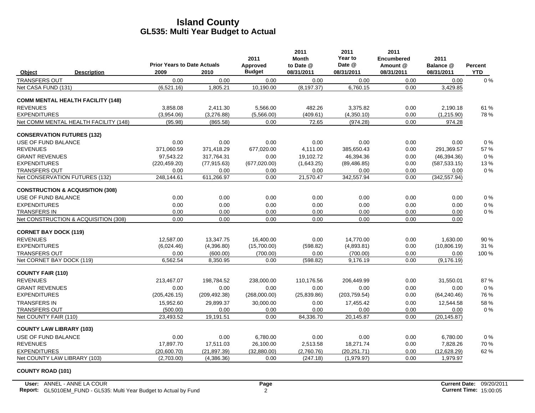|                              |                                             | <b>Prior Years to Date Actuals</b> |               | 2011<br>Approved | 2011<br>Month<br>to Date @ | 2011<br>Year to<br>Date @ | 2011<br><b>Encumbered</b><br>Amount @ | 2011<br>Balance @ | <b>Percent</b> |
|------------------------------|---------------------------------------------|------------------------------------|---------------|------------------|----------------------------|---------------------------|---------------------------------------|-------------------|----------------|
| Object                       | <b>Description</b>                          | 2009                               | 2010          | <b>Budget</b>    | 08/31/2011                 | 08/31/2011                | 08/31/2011                            | 08/31/2011        | <b>YTD</b>     |
| <b>TRANSFERS OUT</b>         |                                             | 0.00                               | 0.00          | 0.00             | 0.00                       | 0.00                      | 0.00                                  | 0.00              | $0\%$          |
| Net CASA FUND (131)          |                                             | (6,521.16)                         | 1,805.21      | 10,190.00        | (8, 197.37)                | 6,760.15                  | 0.00                                  | 3,429.85          |                |
|                              | <b>COMM MENTAL HEALTH FACILITY (148)</b>    |                                    |               |                  |                            |                           |                                       |                   |                |
| <b>REVENUES</b>              |                                             | 3.858.08                           | 2.411.30      | 5.566.00         | 482.26                     | 3.375.82                  | 0.00                                  | 2.190.18          | 61 %           |
| <b>EXPENDITURES</b>          |                                             | (3,954.06)                         | (3,276.88)    | (5,566.00)       | (409.61)                   | (4,350.10)                | 0.00                                  | (1,215.90)        | 78%            |
|                              | Net COMM MENTAL HEALTH FACILITY (148)       | (95.98)                            | (865.58)      | 0.00             | 72.65                      | (974.28)                  | 0.00                                  | 974.28            |                |
|                              | <b>CONSERVATION FUTURES (132)</b>           |                                    |               |                  |                            |                           |                                       |                   |                |
| USE OF FUND BALANCE          |                                             | 0.00                               | 0.00          | 0.00             | 0.00                       | 0.00                      | 0.00                                  | 0.00              | 0%             |
| <b>REVENUES</b>              |                                             | 371,060.59                         | 371,418.29    | 677,020.00       | 4,111.00                   | 385,650.43                | 0.00                                  | 291,369.57        | 57%            |
| <b>GRANT REVENUES</b>        |                                             | 97.543.22                          | 317.764.31    | 0.00             | 19.102.72                  | 46.394.36                 | 0.00                                  | (46, 394.36)      | 0%             |
| <b>EXPENDITURES</b>          |                                             | (220, 459.20)                      | (77, 915.63)  | (677, 020.00)    | (1,643.25)                 | (89, 486.85)              | 0.00                                  | (587, 533.15)     | 13%            |
| <b>TRANSFERS OUT</b>         |                                             | 0.00                               | 0.00          | 0.00             | 0.00                       | 0.00                      | 0.00                                  | 0.00              | 0%             |
|                              | Net CONSERVATION FUTURES (132)              | 248,144.61                         | 611,266.97    | 0.00             | 21,570.47                  | 342,557.94                | 0.00                                  | (342, 557.94)     |                |
|                              | <b>CONSTRUCTION &amp; ACQUISITION (308)</b> |                                    |               |                  |                            |                           |                                       |                   |                |
| USE OF FUND BALANCE          |                                             | 0.00                               | 0.00          | 0.00             | 0.00                       | 0.00                      | 0.00                                  | 0.00              | 0%             |
| <b>EXPENDITURES</b>          |                                             | 0.00                               | 0.00          | 0.00             | 0.00                       | 0.00                      | 0.00                                  | 0.00              | 0%             |
| <b>TRANSFERS IN</b>          |                                             | 0.00                               | 0.00          | 0.00             | 0.00                       | 0.00                      | 0.00                                  | 0.00              | $0\%$          |
|                              | Net CONSTRUCTION & ACQUISITION (308)        | 0.00                               | 0.00          | 0.00             | 0.00                       | 0.00                      | 0.00                                  | 0.00              |                |
| <b>CORNET BAY DOCK (119)</b> |                                             |                                    |               |                  |                            |                           |                                       |                   |                |
| <b>REVENUES</b>              |                                             | 12,587.00                          | 13,347.75     | 16,400.00        | 0.00                       | 14.770.00                 | 0.00                                  | 1,630.00          | 90%            |
| <b>EXPENDITURES</b>          |                                             | (6,024.46)                         | (4,396.80)    | (15,700.00)      | (598.82)                   | (4,893.81)                | 0.00                                  | (10, 806.19)      | 31 %           |
| <b>TRANSFERS OUT</b>         |                                             | 0.00                               | (600.00)      | (700.00)         | 0.00                       | (700.00)                  | 0.00                                  | 0.00              | 100 %          |
| Net CORNET BAY DOCK (119)    |                                             | 6,562.54                           | 8,350.95      | 0.00             | (598.82)                   | 9,176.19                  | 0.00                                  | (9, 176.19)       |                |
| <b>COUNTY FAIR (110)</b>     |                                             |                                    |               |                  |                            |                           |                                       |                   |                |
| <b>REVENUES</b>              |                                             | 213,467.07                         | 198,784.52    | 238,000.00       | 110,176.56                 | 206,449.99                | 0.00                                  | 31,550.01         | 87%            |
| <b>GRANT REVENUES</b>        |                                             | 0.00                               | 0.00          | 0.00             | 0.00                       | 0.00                      | 0.00                                  | 0.00              | 0%             |
| <b>EXPENDITURES</b>          |                                             | (205, 426.15)                      | (209, 492.38) | (268,000.00)     | (25, 839.86)               | (203, 759.54)             | 0.00                                  | (64, 240.46)      | 76 %           |
| <b>TRANSFERS IN</b>          |                                             | 15,952.60                          | 29,899.37     | 30,000.00        | 0.00                       | 17,455.42                 | 0.00                                  | 12,544.58         | 58 %           |
| <b>TRANSFERS OUT</b>         |                                             | (500.00)                           | 0.00          | 0.00             | 0.00                       | 0.00                      | 0.00                                  | 0.00              | 0%             |
| Net COUNTY FAIR (110)        |                                             | 23,493.52                          | 19,191.51     | 0.00             | 84,336.70                  | 20,145.87                 | 0.00                                  | (20, 145.87)      |                |
|                              | <b>COUNTY LAW LIBRARY (103)</b>             |                                    |               |                  |                            |                           |                                       |                   |                |
| USE OF FUND BALANCE          |                                             | 0.00                               | 0.00          | 6,780.00         | 0.00                       | 0.00                      | 0.00                                  | 6,780.00          | 0%             |
| <b>REVENUES</b>              |                                             | 17,897.70                          | 17,511.03     | 26,100.00        | 2,513.58                   | 18,271.74                 | 0.00                                  | 7,828.26          | 70 %           |
| <b>EXPENDITURES</b>          |                                             | (20.600.70)                        | (21.897.39)   | (32.880.00)      | (2.760.76)                 | (20, 251.71)              | 0.00                                  | (12,628.29)       | 62%            |
|                              | Net COUNTY LAW LIBRARY (103)                | (2,703.00)                         | (4,386.36)    | 0.00             | (247.18)                   | (1,979.97)                | 0.00                                  | 1,979.97          |                |
|                              |                                             |                                    |               |                  |                            |                           |                                       |                   |                |

#### **COUNTY ROAD (101)**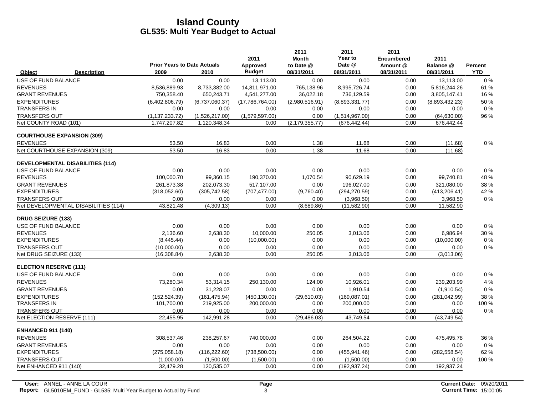|                                         | <b>Prior Years to Date Actuals</b> |                | 2011<br>Approved | 2011<br><b>Month</b><br>to Date @ | 2011<br>Year to<br>Date @ | 2011<br><b>Encumbered</b><br>Amount @ | 2011<br>Balance @ | Percent    |
|-----------------------------------------|------------------------------------|----------------|------------------|-----------------------------------|---------------------------|---------------------------------------|-------------------|------------|
| <b>Description</b><br>Object            | 2009                               | 2010           | <b>Budget</b>    | 08/31/2011                        | 08/31/2011                | 08/31/2011                            | 08/31/2011        | <b>YTD</b> |
| USE OF FUND BALANCE                     | 0.00                               | 0.00           | 13,113.00        | 0.00                              | 0.00                      | 0.00                                  | 13,113.00         | $0\%$      |
| <b>REVENUES</b>                         | 8,536,889.93                       | 8,733,382.00   | 14,811,971.00    | 765,138.96                        | 8,995,726.74              | 0.00                                  | 5,816,244.26      | 61 %       |
| <b>GRANT REVENUES</b>                   | 750,358.40                         | 650,243.71     | 4,541,277.00     | 36,022.18                         | 736,129.59                | 0.00                                  | 3,805,147.41      | 16%        |
| <b>EXPENDITURES</b>                     | (6,402,806.79)                     | (6,737,060.37) | (17,786,764.00)  | (2,980,516.91)                    | (8,893,331.77)            | 0.00                                  | (8,893,432.23)    | 50 %       |
| <b>TRANSFERS IN</b>                     | 0.00                               | 0.00           | 0.00             | 0.00                              | 0.00                      | 0.00                                  | 0.00              | $0\%$      |
| <b>TRANSFERS OUT</b>                    | (1, 137, 233, 72)                  | (1,526,217.00) | (1,579,597.00)   | 0.00                              | (1,514,967.00)            | 0.00                                  | (64, 630.00)      | 96 %       |
| Net COUNTY ROAD (101)                   | 1,747,207.82                       | 1,120,348.34   | 0.00             | (2, 179, 355.77)                  | (676, 442.44)             | 0.00                                  | 676,442.44        |            |
| <b>COURTHOUSE EXPANSION (309)</b>       |                                    |                |                  |                                   |                           |                                       |                   |            |
| <b>REVENUES</b>                         | 53.50                              | 16.83          | 0.00             | 1.38                              | 11.68                     | 0.00                                  | (11.68)           | $0\%$      |
| Net COURTHOUSE EXPANSION (309)          | 53.50                              | 16.83          | 0.00             | 1.38                              | 11.68                     | 0.00                                  | (11.68)           |            |
| <b>DEVELOPMENTAL DISABILITIES (114)</b> |                                    |                |                  |                                   |                           |                                       |                   |            |
| USE OF FUND BALANCE                     | 0.00                               | 0.00           | 0.00             | 0.00                              | 0.00                      | 0.00                                  | 0.00              | $0\%$      |
| <b>REVENUES</b>                         | 100,000.70                         | 99,360.15      | 190,370.00       | 1,070.54                          | 90,629.19                 | 0.00                                  | 99,740.81         | 48 %       |
| <b>GRANT REVENUES</b>                   | 261,873.38                         | 202,073.30     | 517,107.00       | 0.00                              | 196,027.00                | 0.00                                  | 321,080.00        | 38 %       |
| <b>EXPENDITURES</b>                     | (318,052.60)                       | (305, 742.58)  | (707, 477.00)    | (9,760.40)                        | (294, 270.59)             | 0.00                                  | (413, 206.41)     | 42 %       |
| <b>TRANSFERS OUT</b>                    | 0.00                               | 0.00           | 0.00             | 0.00                              | (3,968.50)                | 0.00                                  | 3,968.50          | $0\%$      |
| Net DEVELOPMENTAL DISABILITIES (114)    | 43.821.48                          | (4,309.13)     | 0.00             | (8,689.86)                        | (11, 582.90)              | 0.00                                  | 11,582.90         |            |
| <b>DRUG SEIZURE (133)</b>               |                                    |                |                  |                                   |                           |                                       |                   |            |
| USE OF FUND BALANCE                     | 0.00                               | 0.00           | 0.00             | 0.00                              | 0.00                      | 0.00                                  | 0.00              | 0%         |
| <b>REVENUES</b>                         | 2,136.60                           | 2,638.30       | 10,000.00        | 250.05                            | 3,013.06                  | 0.00                                  | 6,986.94          | 30 %       |
| <b>EXPENDITURES</b>                     | (8,445.44)                         | 0.00           | (10,000.00)      | 0.00                              | 0.00                      | 0.00                                  | (10,000.00)       | $0\%$      |
| <b>TRANSFERS OUT</b>                    | (10,000.00)                        | 0.00           | 0.00             | 0.00                              | 0.00                      | 0.00                                  | 0.00              | 0%         |
| Net DRUG SEIZURE (133)                  | (16, 308.84)                       | 2,638.30       | 0.00             | 250.05                            | 3,013.06                  | 0.00                                  | (3,013.06)        |            |
| <b>ELECTION RESERVE (111)</b>           |                                    |                |                  |                                   |                           |                                       |                   |            |
| USE OF FUND BALANCE                     | 0.00                               | 0.00           | 0.00             | 0.00                              | 0.00                      | 0.00                                  | 0.00              | 0%         |
| <b>REVENUES</b>                         | 73.280.34                          | 53,314.15      | 250,130.00       | 124.00                            | 10,926.01                 | 0.00                                  | 239,203.99        | 4 %        |
| <b>GRANT REVENUES</b>                   | 0.00                               | 31,228.07      | 0.00             | 0.00                              | 1,910.54                  | 0.00                                  | (1,910.54)        | 0%         |
| <b>EXPENDITURES</b>                     | (152, 524.39)                      | (161, 475.94)  | (450, 130.00)    | (29,610.03)                       | (169,087.01)              | 0.00                                  | (281, 042.99)     | 38 %       |
| <b>TRANSFERS IN</b>                     | 101,700.00                         | 219,925.00     | 200,000.00       | 0.00                              | 200,000.00                | 0.00                                  | 0.00              | 100 %      |
| <b>TRANSFERS OUT</b>                    | 0.00                               | 0.00           | 0.00             | 0.00                              | 0.00                      | 0.00                                  | 0.00              | $0\%$      |
| Net ELECTION RESERVE (111)              | 22,455.95                          | 142,991.28     | 0.00             | (29, 486.03)                      | 43,749.54                 | 0.00                                  | (43,749.54)       |            |
| <b>ENHANCED 911 (140)</b>               |                                    |                |                  |                                   |                           |                                       |                   |            |
| <b>REVENUES</b>                         | 308.537.46                         | 238,257.67     | 740,000.00       | 0.00                              | 264.504.22                | 0.00                                  | 475,495.78        | 36 %       |
| <b>GRANT REVENUES</b>                   | 0.00                               | 0.00           | 0.00             | 0.00                              | 0.00                      | 0.00                                  | 0.00              | $0\%$      |
| <b>EXPENDITURES</b>                     | (275,058.18)                       | (116, 222.60)  | (738, 500.00)    | 0.00                              | (455, 941.46)             | 0.00                                  | (282, 558.54)     | 62 %       |
| <b>TRANSFERS OUT</b>                    | (1.000.00)                         | (1,500.00)     | (1.500.00)       | 0.00                              | (1,500.00)                | 0.00                                  | 0.00              | 100 %      |
| Net ENHANCED 911 (140)                  | 32,479.28                          | 120,535.07     | 0.00             | 0.00                              | (192, 937.24)             | 0.00                                  | 192,937.24        |            |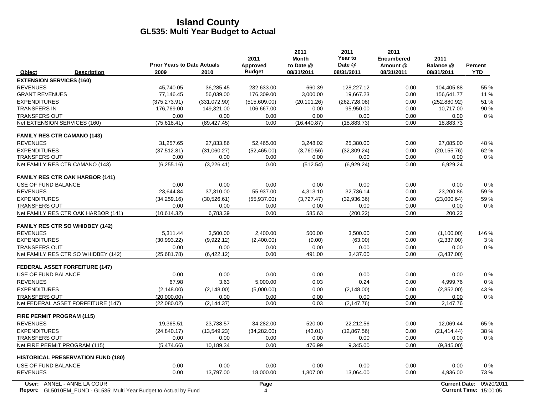|                                    |                                                                           | <b>Prior Years to Date Actuals</b> |              | 2011<br>Approved | 2011<br><b>Month</b><br>to Date @ | 2011<br>Year to<br>Date @ | 2011<br><b>Encumbered</b><br>Amount @ | 2011<br>Balance @             | Percent    |
|------------------------------------|---------------------------------------------------------------------------|------------------------------------|--------------|------------------|-----------------------------------|---------------------------|---------------------------------------|-------------------------------|------------|
| Object                             | <b>Description</b>                                                        | 2009                               | 2010         | <b>Budget</b>    | 08/31/2011                        | 08/31/2011                | 08/31/2011                            | 08/31/2011                    | YTD        |
| <b>EXTENSION SERVICES (160)</b>    |                                                                           |                                    |              |                  |                                   |                           |                                       |                               |            |
| <b>REVENUES</b>                    |                                                                           | 45,740.05                          | 36,285.45    | 232,633.00       | 660.39                            | 128,227.12                | 0.00                                  | 104,405.88                    | 55 %       |
| <b>GRANT REVENUES</b>              |                                                                           | 77,146.45                          | 56,039.00    | 176,309.00       | 3,000.00                          | 19,667.23                 | 0.00                                  | 156,641.77                    | 11 %       |
| <b>EXPENDITURES</b>                |                                                                           | (375, 273.91)                      | (331,072.90) | (515,609.00)     | (20, 101.26)                      | (262, 728.08)             | 0.00                                  | (252, 880.92)                 | 51 %       |
| <b>TRANSFERS IN</b>                |                                                                           | 176,769.00                         | 149,321.00   | 106,667.00       | 0.00                              | 95,950.00                 | 0.00                                  | 10,717.00                     | 90 %       |
| <b>TRANSFERS OUT</b>               |                                                                           | 0.00                               | 0.00         | 0.00             | 0.00                              | 0.00                      | 0.00                                  | 0.00                          | 0%         |
| Net EXTENSION SERVICES (160)       |                                                                           | (75, 618.41)                       | (89, 427.45) | 0.00             | (16, 440.87)                      | (18, 883.73)              | 0.00                                  | 18,883.73                     |            |
| <b>FAMILY RES CTR CAMANO (143)</b> |                                                                           |                                    |              |                  |                                   |                           |                                       |                               |            |
| <b>REVENUES</b>                    |                                                                           | 31,257.65                          | 27,833.86    | 52,465.00        | 3,248.02                          | 25,380.00                 | 0.00                                  | 27,085.00                     | 48 %       |
| <b>EXPENDITURES</b>                |                                                                           | (37, 512.81)                       | (31,060.27)  | (52, 465.00)     | (3,760.56)                        | (32, 309.24)              | 0.00                                  | (20, 155.76)                  | 62%        |
| <b>TRANSFERS OUT</b>               |                                                                           | 0.00                               | 0.00         | 0.00             | 0.00                              | 0.00                      | 0.00                                  | 0.00                          | $0\%$      |
|                                    | Net FAMILY RES CTR CAMANO (143)                                           | (6, 255.16)                        | (3,226.41)   | 0.00             | (512.54)                          | (6,929.24)                | 0.00                                  | 6,929.24                      |            |
|                                    | <b>FAMILY RES CTR OAK HARBOR (141)</b>                                    |                                    |              |                  |                                   |                           |                                       |                               |            |
| USE OF FUND BALANCE                |                                                                           | 0.00                               | 0.00         | 0.00             | 0.00                              | 0.00                      | 0.00                                  | 0.00                          | $0\%$      |
| <b>REVENUES</b>                    |                                                                           | 23,644.84                          | 37,310.00    | 55,937.00        | 4,313.10                          | 32,736.14                 | 0.00                                  | 23,200.86                     | 59 %       |
| <b>EXPENDITURES</b>                |                                                                           | (34, 259.16)                       | (30,526.61)  | (55,937.00)      | (3,727.47)                        | (32,936.36)               | 0.00                                  | (23,000.64)                   | 59%        |
| <b>TRANSFERS OUT</b>               |                                                                           | 0.00                               | 0.00         | 0.00             | 0.00                              | 0.00                      | 0.00                                  | 0.00                          | $0\%$      |
|                                    | Net FAMILY RES CTR OAK HARBOR (141)                                       | (10.614.32)                        | 6,783.39     | 0.00             | 585.63                            | (200.22)                  | 0.00                                  | 200.22                        |            |
|                                    | <b>FAMILY RES CTR SO WHIDBEY (142)</b>                                    |                                    |              |                  |                                   |                           |                                       |                               |            |
| <b>REVENUES</b>                    |                                                                           | 5,311.44                           | 3.500.00     | 2.400.00         | 500.00                            | 3.500.00                  | 0.00                                  | (1,100.00)                    | 146 %      |
| <b>EXPENDITURES</b>                |                                                                           | (30,993.22)                        | (9,922.12)   | (2,400.00)       | (9.00)                            | (63.00)                   | 0.00                                  | (2,337.00)                    | 3%         |
| <b>TRANSFERS OUT</b>               |                                                                           | 0.00                               | 0.00         | 0.00             | 0.00                              | 0.00                      | 0.00                                  | 0.00                          | 0%         |
|                                    | Net FAMILY RES CTR SO WHIDBEY (142)                                       | (25,681.78)                        | (6, 422.12)  | 0.00             | 491.00                            | 3,437.00                  | 0.00                                  | (3,437.00)                    |            |
|                                    | <b>FEDERAL ASSET FORFEITURE (147)</b>                                     |                                    |              |                  |                                   |                           |                                       |                               |            |
| USE OF FUND BALANCE                |                                                                           | 0.00                               | 0.00         | 0.00             | 0.00                              | 0.00                      | 0.00                                  | 0.00                          | $0\%$      |
| <b>REVENUES</b>                    |                                                                           | 67.98                              | 3.63         | 5,000.00         | 0.03                              | 0.24                      | 0.00                                  | 4,999.76                      | $0\%$      |
| <b>EXPENDITURES</b>                |                                                                           | (2, 148.00)                        | (2, 148.00)  | (5,000.00)       | 0.00                              | (2, 148.00)               | 0.00                                  | (2,852.00)                    | 43 %       |
| <b>TRANSFERS OUT</b>               |                                                                           | (20,000.00)                        | 0.00         | 0.00             | 0.00                              | 0.00                      | 0.00                                  | 0.00                          | $0\%$      |
|                                    | Net FEDERAL ASSET FORFEITURE (147)                                        | (22,080.02)                        | (2, 144.37)  | 0.00             | 0.03                              | (2, 147.76)               | 0.00                                  | 2,147.76                      |            |
| <b>FIRE PERMIT PROGRAM (115)</b>   |                                                                           |                                    |              |                  |                                   |                           |                                       |                               |            |
| <b>REVENUES</b>                    |                                                                           | 19,365.51                          | 23,738.57    | 34,282.00        | 520.00                            | 22,212.56                 | 0.00                                  | 12,069.44                     | 65 %       |
| <b>EXPENDITURES</b>                |                                                                           | (24, 840.17)                       | (13,549.23)  | (34, 282.00)     | (43.01)                           | (12, 867.56)              | 0.00                                  | (21, 414.44)                  | 38 %       |
| <b>TRANSFERS OUT</b>               |                                                                           | 0.00                               | 0.00         | 0.00             | 0.00                              | 0.00                      | 0.00                                  | 0.00                          | $0\%$      |
| Net FIRE PERMIT PROGRAM (115)      |                                                                           | (5,474.66)                         | 10,189.34    | 0.00             | 476.99                            | 9,345.00                  | 0.00                                  | (9,345.00)                    |            |
|                                    | <b>HISTORICAL PRESERVATION FUND (180)</b>                                 |                                    |              |                  |                                   |                           |                                       |                               |            |
| USE OF FUND BALANCE                |                                                                           | 0.00                               | 0.00         | 0.00             | 0.00                              | 0.00                      | 0.00                                  | 0.00                          | 0%         |
| <b>REVENUES</b>                    |                                                                           | 0.00                               | 13,797.00    | 18,000.00        | 1,807.00                          | 13,064.00                 | 0.00                                  | 4,936.00                      | 73%        |
|                                    | User: ANNEL - ANNE LA COUR                                                |                                    |              | Page             |                                   |                           |                                       | <b>Current Date:</b>          | 09/20/2011 |
|                                    | <b>Report:</b> GL5010EM FUND - GL535: Multi Year Budget to Actual by Fund |                                    |              | 4                |                                   |                           |                                       | <b>Current Time: 15:00:05</b> |            |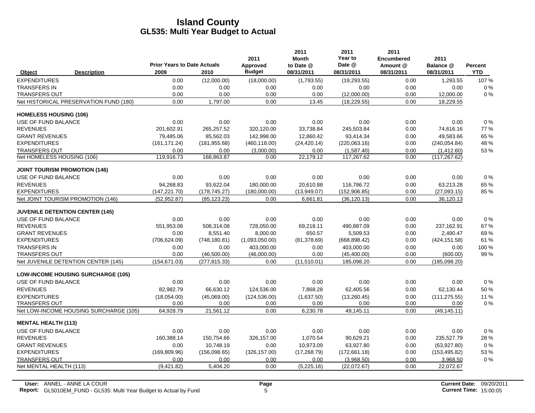|                               |                                           | <b>Prior Years to Date Actuals</b> |               | 2011<br>Approved | 2011<br><b>Month</b><br>to Date @ | 2011<br>Year to<br>Date @ | 2011<br><b>Encumbered</b><br>Amount @ | 2011<br>Balance @ | Percent    |
|-------------------------------|-------------------------------------------|------------------------------------|---------------|------------------|-----------------------------------|---------------------------|---------------------------------------|-------------------|------------|
| Object                        | <b>Description</b>                        | 2009                               | 2010          | <b>Budget</b>    | 08/31/2011                        | 08/31/2011                | 08/31/2011                            | 08/31/2011        | <b>YTD</b> |
| <b>EXPENDITURES</b>           |                                           | 0.00                               | (12,000.00)   | (18,000.00)      | (1,793.55)                        | (19, 293.55)              | 0.00                                  | 1,293.55          | 107 %      |
| <b>TRANSFERS IN</b>           |                                           | 0.00                               | 0.00          | 0.00             | 0.00                              | 0.00                      | 0.00                                  | 0.00              | $0\%$      |
| <b>TRANSFERS OUT</b>          |                                           | 0.00                               | 0.00          | 0.00             | 0.00                              | (12,000.00)               | 0.00                                  | 12,000.00         | 0%         |
|                               | Net HISTORICAL PRESERVATION FUND (180)    | 0.00                               | 1,797.00      | 0.00             | 13.45                             | (18, 229.55)              | 0.00                                  | 18,229.55         |            |
| <b>HOMELESS HOUSING (106)</b> |                                           |                                    |               |                  |                                   |                           |                                       |                   |            |
| USE OF FUND BALANCE           |                                           | 0.00                               | 0.00          | 0.00             | 0.00                              | 0.00                      | 0.00                                  | 0.00              | $0\%$      |
| <b>REVENUES</b>               |                                           | 201,602.91                         | 265,257.52    | 320,120.00       | 33,738.84                         | 245,503.84                | 0.00                                  | 74,616.16         | 77 %       |
| <b>GRANT REVENUES</b>         |                                           | 79,485.06                          | 85,562.03     | 142,998.00       | 12,860.42                         | 93,414.34                 | 0.00                                  | 49,583.66         | 65 %       |
| <b>EXPENDITURES</b>           |                                           | (161, 171.24)                      | (181, 955.68) | (460, 118.00)    | (24, 420.14)                      | (220,063.16)              | 0.00                                  | (240.054.84)      | 48 %       |
| <b>TRANSFERS OUT</b>          |                                           | 0.00                               | 0.00          | (3,000.00)       | 0.00                              | (1,587.40)                | 0.00                                  | (1,412.60)        | 53 %       |
| Net HOMELESS HOUSING (106)    |                                           | 119,916.73                         | 168,863.87    | 0.00             | 22,179.12                         | 117,267.62                | 0.00                                  | (117, 267.62)     |            |
|                               | <b>JOINT TOURISM PROMOTION (146)</b>      |                                    |               |                  |                                   |                           |                                       |                   |            |
| USE OF FUND BALANCE           |                                           | 0.00                               | 0.00          | 0.00             | 0.00                              | 0.00                      | 0.00                                  | 0.00              | $0\%$      |
| <b>REVENUES</b>               |                                           | 94.268.83                          | 93.622.04     | 180,000.00       | 20.610.88                         | 116.786.72                | 0.00                                  | 63,213.28         | 65 %       |
| <b>EXPENDITURES</b>           |                                           | (147, 221.70)                      | (178, 745.27) | (180,000.00)     | (13,949.07)                       | (152, 906.85)             | 0.00                                  | (27,093.15)       | 85 %       |
|                               | Net JOINT TOURISM PROMOTION (146)         | (52, 952.87)                       | (85, 123.23)  | 0.00             | 6,661.81                          | (36, 120.13)              | 0.00                                  | 36,120.13         |            |
|                               | <b>JUVENILE DETENTION CENTER (145)</b>    |                                    |               |                  |                                   |                           |                                       |                   |            |
| USE OF FUND BALANCE           |                                           | 0.00                               | 0.00          | 0.00             | 0.00                              | 0.00                      | 0.00                                  | 0.00              | $0\%$      |
| <b>REVENUES</b>               |                                           | 551,953.06                         | 508,314.08    | 728,050.00       | 69,218.11                         | 490,887.09                | 0.00                                  | 237,162.91        | 67 %       |
| <b>GRANT REVENUES</b>         |                                           | 0.00                               | 8,551.40      | 8,000.00         | 650.57                            | 5,509.53                  | 0.00                                  | 2,490.47          | 69%        |
| <b>EXPENDITURES</b>           |                                           | (706, 624.09)                      | (748, 180.81) | (1,093,050.00)   | (81, 378.69)                      | (668, 898.42)             | 0.00                                  | (424, 151.58)     | 61%        |
| <b>TRANSFERS IN</b>           |                                           | 0.00                               | 0.00          | 403,000.00       | 0.00                              | 403,000.00                | 0.00                                  | 0.00              | 100 %      |
| <b>TRANSFERS OUT</b>          |                                           | 0.00                               | (46,500.00)   | (46,000.00)      | 0.00                              | (45, 400.00)              | 0.00                                  | (600.00)          | 99%        |
|                               | Net JUVENILE DETENTION CENTER (145)       | (154, 671.03)                      | (277, 815.33) | 0.00             | (11,510.01)                       | 185,098.20                | 0.00                                  | (185,098.20)      |            |
|                               | <b>LOW-INCOME HOUSING SURCHARGE (105)</b> |                                    |               |                  |                                   |                           |                                       |                   |            |
| USE OF FUND BALANCE           |                                           | 0.00                               | 0.00          | 0.00             | 0.00                              | 0.00                      | 0.00                                  | 0.00              | 0%         |
| <b>REVENUES</b>               |                                           | 82.982.79                          | 66,630.12     | 124,536.00       | 7,868.28                          | 62,405.56                 | 0.00                                  | 62,130.44         | 50%        |
| <b>EXPENDITURES</b>           |                                           | (18,054.00)                        | (45,069.00)   | (124, 536.00)    | (1,637.50)                        | (13,260.45)               | 0.00                                  | (111, 275.55)     | 11 %       |
| <b>TRANSFERS OUT</b>          |                                           | 0.00                               | 0.00          | 0.00             | 0.00                              | 0.00                      | 0.00                                  | 0.00              | $0\%$      |
|                               | Net LOW-INCOME HOUSING SURCHARGE (105)    | 64.928.79                          | 21.561.12     | 0.00             | 6.230.78                          | 49,145.11                 | 0.00                                  | (49, 145.11)      |            |
| <b>MENTAL HEALTH (113)</b>    |                                           |                                    |               |                  |                                   |                           |                                       |                   |            |
| USE OF FUND BALANCE           |                                           | 0.00                               | 0.00          | 0.00             | 0.00                              | 0.00                      | 0.00                                  | 0.00              | $0\%$      |
| <b>REVENUES</b>               |                                           | 160,388.14                         | 150,754.66    | 326,157.00       | 1,070.54                          | 90,629.21                 | 0.00                                  | 235,527.79        | 28 %       |
| <b>GRANT REVENUES</b>         |                                           | 0.00                               | 10,748.19     | 0.00             | 10,973.09                         | 63,927.80                 | 0.00                                  | (63,927.80)       | 0%         |
| <b>EXPENDITURES</b>           |                                           | (169, 809.96)                      | (156,098.65)  | (326, 157.00)    | (17, 268.79)                      | (172,661.18)              | 0.00                                  | (153, 495.82)     | 53 %       |
| <b>TRANSFERS OUT</b>          |                                           | 0.00                               | 0.00          | 0.00             | 0.00                              | (3,968.50)                | 0.00                                  | 3,968.50          | 0%         |
| Net MENTAL HEALTH (113)       |                                           | (9,421.82)                         | 5,404.20      | 0.00             | (5,225.16)                        | (22,072.67)               | 0.00                                  | 22,072.67         |            |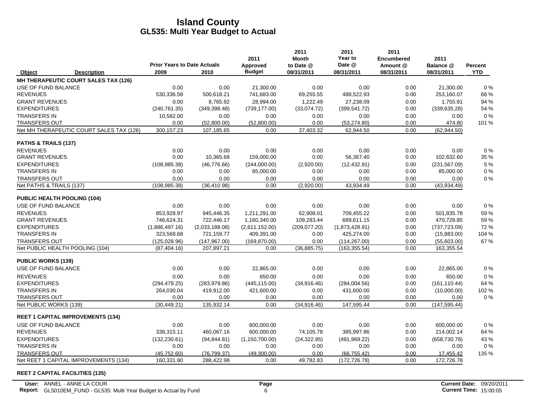|                            |                                          |                                            |                | 2011                      | 2011<br><b>Month</b>    | 2011<br>Year to      | 2011<br><b>Encumbered</b> | 2011                    |                       |
|----------------------------|------------------------------------------|--------------------------------------------|----------------|---------------------------|-------------------------|----------------------|---------------------------|-------------------------|-----------------------|
| Object                     | <b>Description</b>                       | <b>Prior Years to Date Actuals</b><br>2009 | 2010           | Approved<br><b>Budget</b> | to Date @<br>08/31/2011 | Date @<br>08/31/2011 | Amount @<br>08/31/2011    | Balance @<br>08/31/2011 | Percent<br><b>YTD</b> |
|                            | MH THERAPEUTIC COURT SALES TAX (126)     |                                            |                |                           |                         |                      |                           |                         |                       |
| USE OF FUND BALANCE        |                                          | 0.00                                       | 0.00           | 21,300.00                 | 0.00                    | 0.00                 | 0.00                      | 21,300.00               | $0\%$                 |
| <b>REVENUES</b>            |                                          | 530,336.58                                 | 500,618.21     | 741,683.00                | 69,255.55               | 488,522.93           | 0.00                      | 253,160.07              | 66 %                  |
| <b>GRANT REVENUES</b>      |                                          | 0.00                                       | 8,765.92       | 28.994.00                 | 1,222.49                | 27.238.09            | 0.00                      | 1,755.91                | 94 %                  |
| <b>EXPENDITURES</b>        |                                          | (240, 761.35)                              | (349, 398.48)  | (739, 177.00)             | (33,074.72)             | (399, 541.72)        | 0.00                      | (339, 635.28)           | 54 %                  |
| <b>TRANSFERS IN</b>        |                                          | 10,582.00                                  | 0.00           | 0.00                      | 0.00                    | 0.00                 | 0.00                      | 0.00                    | $0\%$                 |
| <b>TRANSFERS OUT</b>       |                                          | 0.00                                       | (52,800.00)    | (52,800.00)               | 0.00                    | (53, 274.80)         | 0.00                      | 474.80                  | 101 %                 |
|                            | Net MH THERAPEUTIC COURT SALES TAX (126) | 300, 157.23                                | 107,185.65     | 0.00                      | 37,403.32               | 62,944.50            | 0.00                      | (62, 944.50)            |                       |
| PATHS & TRAILS (137)       |                                          |                                            |                |                           |                         |                      |                           |                         |                       |
| <b>REVENUES</b>            |                                          | 0.00                                       | 0.00           | 0.00                      | 0.00                    | 0.00                 | 0.00                      | 0.00                    | $0\%$                 |
| <b>GRANT REVENUES</b>      |                                          | 0.00                                       | 10,365.68      | 159,000.00                | 0.00                    | 56,367.40            | 0.00                      | 102,632.60              | 35 %                  |
| <b>EXPENDITURES</b>        |                                          | (108, 985.38)                              | (46, 776.66)   | (244,000.00)              | (2,920.00)              | (12, 432.91)         | 0.00                      | (231, 567.09)           | 5 %                   |
| <b>TRANSFERS IN</b>        |                                          | 0.00                                       | 0.00           | 85,000.00                 | 0.00                    | 0.00                 | 0.00                      | 85,000.00               | 0%                    |
| <b>TRANSFERS OUT</b>       |                                          | 0.00                                       | 0.00           | 0.00                      | 0.00                    | 0.00                 | 0.00                      | 0.00                    | 0%                    |
| Net PATHS & TRAILS (137)   |                                          | (108, 985.38)                              | (36, 410.98)   | 0.00                      | (2,920.00)              | 43,934.49            | 0.00                      | (43,934.49)             |                       |
|                            | PUBLIC HEALTH POOLING (104)              |                                            |                |                           |                         |                      |                           |                         |                       |
| USE OF FUND BALANCE        |                                          | 0.00                                       | 0.00           | 0.00                      | 0.00                    | 0.00                 | 0.00                      | 0.00                    | 0%                    |
| <b>REVENUES</b>            |                                          | 853.928.97                                 | 945.446.35     | 1,211,291.00              | 62.908.01               | 709.455.22           | 0.00                      | 501.835.78              | 59%                   |
| <b>GRANT REVENUES</b>      |                                          | 746,624.31                                 | 722,446.17     | 1,160,340.00              | 109,283.44              | 689,611.15           | 0.00                      | 470,728.85              | 59%                   |
| <b>EXPENDITURES</b>        |                                          | (1,886,497.16)                             | (2,033,188.08) | (2,611,152.00)            | (209, 077.20)           | (1,873,428.91)       | 0.00                      | (737, 723.09)           | 72 %                  |
| <b>TRANSFERS IN</b>        |                                          | 323,568.68                                 | 721,159.77     | 409,391.00                | 0.00                    | 425,274.00           | 0.00                      | (15,883.00)             | 104 %                 |
| <b>TRANSFERS OUT</b>       |                                          | (125, 028.96)                              | (147, 967.00)  | (169, 870.00)             | 0.00                    | (114, 267.00)        | 0.00                      | (55,603.00)             | 67%                   |
|                            | Net PUBLIC HEALTH POOLING (104)          | (87, 404.16)                               | 207,897.21     | 0.00                      | (36, 885.75)            | (163, 355.54)        | 0.00                      | 163,355.54              |                       |
| <b>PUBLIC WORKS (139)</b>  |                                          |                                            |                |                           |                         |                      |                           |                         |                       |
| <b>USE OF FUND BALANCE</b> |                                          | 0.00                                       | 0.00           | 22,865.00                 | 0.00                    | 0.00                 | 0.00                      | 22,865.00               | $0\%$                 |
| <b>REVENUES</b>            |                                          | 0.00                                       | 0.00           | 650.00                    | 0.00                    | 0.00                 | 0.00                      | 650.00                  | 0%                    |
| <b>EXPENDITURES</b>        |                                          | (294, 479.25)                              | (283, 979.86)  | (445, 115.00)             | (34,916.46)             | (284,004.56)         | 0.00                      | (161, 110.44)           | 64 %                  |
| <b>TRANSFERS IN</b>        |                                          | 264,030.04                                 | 419,912.00     | 421,600.00                | 0.00                    | 431,600.00           | 0.00                      | (10,000.00)             | 102%                  |
| <b>TRANSFERS OUT</b>       |                                          | 0.00                                       | 0.00           | 0.00                      | 0.00                    | 0.00                 | 0.00                      | 0.00                    | 0%                    |
| Net PUBLIC WORKS (139)     |                                          | (30, 449.21)                               | 135,932.14     | 0.00                      | (34, 916.46)            | 147,595.44           | 0.00                      | (147, 595.44)           |                       |
|                            | <b>REET 1 CAPITAL IMPROVEMENTS (134)</b> |                                            |                |                           |                         |                      |                           |                         |                       |
| USE OF FUND BALANCE        |                                          | 0.00                                       | 0.00           | 600,000.00                | 0.00                    | 0.00                 | 0.00                      | 600,000.00              | 0%                    |
| <b>REVENUES</b>            |                                          | 338,315.11                                 | 460,067.16     | 600,000.00                | 74,105.78               | 385,997.86           | 0.00                      | 214,002.14              | 64 %                  |
| <b>EXPENDITURES</b>        |                                          | (132, 230.61)                              | (94, 844.81)   | (1, 150, 700.00)          | (24, 322.95)            | (491, 969.22)        | 0.00                      | (658, 730.78)           | 43 %                  |
| <b>TRANSFERS IN</b>        |                                          | 0.00                                       | 0.00           | 0.00                      | 0.00                    | 0.00                 | 0.00                      | 0.00                    | $0\%$                 |
| TRANSFERS OUT              |                                          | (45,752.60)                                | (76, 799.37)   | (49,300.00)               | 0.00                    | (66, 755.42)         | 0.00                      | 17,455.42               | 135 %                 |
|                            | Net REET 1 CAPITAL IMPROVEMENTS (134)    | 160,331.90                                 | 288,422.98     | 0.00                      | 49,782.83               | (172, 726.78)        | 0.00                      | 172,726.78              |                       |

#### **REET 2 CAPITAL FACILITIES (135)**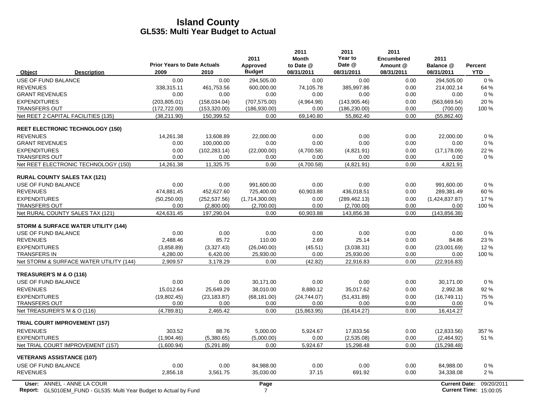|                                                                                                         | <b>Prior Years to Date Actuals</b> |               | 2011<br>Approved | 2011<br><b>Month</b><br>to Date @ | 2011<br>Year to<br>Date @ | 2011<br><b>Encumbered</b><br>Amount @ | 2011<br>Balance @    | Percent                                     |
|---------------------------------------------------------------------------------------------------------|------------------------------------|---------------|------------------|-----------------------------------|---------------------------|---------------------------------------|----------------------|---------------------------------------------|
| Object<br><b>Description</b>                                                                            | 2009                               | 2010          | <b>Budget</b>    | 08/31/2011                        | 08/31/2011                | 08/31/2011                            | 08/31/2011           | <b>YTD</b>                                  |
| USE OF FUND BALANCE                                                                                     | 0.00                               | 0.00          | 294,505.00       | 0.00                              | 0.00                      | 0.00                                  | 294,505.00           | $0\%$                                       |
| <b>REVENUES</b>                                                                                         | 338,315.11                         | 461,753.56    | 600,000.00       | 74,105.78                         | 385,997.86                | 0.00                                  | 214,002.14           | 64 %                                        |
| <b>GRANT REVENUES</b>                                                                                   | 0.00                               | 0.00          | 0.00             | 0.00                              | 0.00                      | 0.00                                  | 0.00                 | $0\%$                                       |
| <b>EXPENDITURES</b>                                                                                     | (203, 805.01)                      | (158, 034.04) | (707, 575.00)    | (4,964.98)                        | (143, 905.46)             | 0.00                                  | (563, 669.54)        | 20%                                         |
| <b>TRANSFERS OUT</b>                                                                                    | (172, 722.00)                      | (153, 320.00) | (186, 930.00)    | 0.00                              | (186, 230.00)             | 0.00                                  | (700.00)             | 100 %                                       |
| Net REET 2 CAPITAL FACILITIES (135)                                                                     | (38, 211.90)                       | 150,399.52    | 0.00             | 69,140.80                         | 55,862.40                 | 0.00                                  | (55,862.40)          |                                             |
| <b>REET ELECTRONIC TECHNOLOGY (150)</b>                                                                 |                                    |               |                  |                                   |                           |                                       |                      |                                             |
| <b>REVENUES</b>                                                                                         | 14,261.38                          | 13,608.89     | 22,000.00        | 0.00                              | 0.00                      | 0.00                                  | 22,000.00            | 0%                                          |
| <b>GRANT REVENUES</b>                                                                                   | 0.00                               | 100,000.00    | 0.00             | 0.00                              | 0.00                      | 0.00                                  | 0.00                 | $0\%$                                       |
| <b>EXPENDITURES</b>                                                                                     | 0.00                               | (102, 283.14) | (22,000.00)      | (4,700.58)                        | (4,821.91)                | 0.00                                  | (17, 178.09)         | 22 %                                        |
| <b>TRANSFERS OUT</b>                                                                                    | 0.00                               | 0.00          | 0.00             | 0.00                              | 0.00                      | 0.00                                  | 0.00                 | 0%                                          |
| Net REET ELECTRONIC TECHNOLOGY (150)                                                                    | 14,261.38                          | 11,325.75     | 0.00             | (4,700.58)                        | (4,821.91)                | 0.00                                  | 4,821.91             |                                             |
| <b>RURAL COUNTY SALES TAX (121)</b>                                                                     |                                    |               |                  |                                   |                           |                                       |                      |                                             |
| USE OF FUND BALANCE                                                                                     | 0.00                               | 0.00          | 991,600.00       | 0.00                              | 0.00                      | 0.00                                  | 991,600.00           | $0\%$                                       |
| <b>REVENUES</b>                                                                                         | 474,881.45                         | 452,627.60    | 725,400.00       | 60,903.88                         | 436,018.51                | 0.00                                  | 289,381.49           | 60%                                         |
| <b>EXPENDITURES</b>                                                                                     | (50, 250.00)                       | (252, 537.56) | (1,714,300.00)   | 0.00                              | (289, 462.13)             | 0.00                                  | (1,424,837.87)       | 17%                                         |
| <b>TRANSFERS OUT</b>                                                                                    | 0.00                               | (2,800.00)    | (2,700.00)       | 0.00                              | (2,700.00)                | 0.00                                  | 0.00                 | 100 %                                       |
| Net RURAL COUNTY SALES TAX (121)                                                                        | 424,631.45                         | 197,290.04    | 0.00             | 60,903.88                         | 143,856.38                | 0.00                                  | (143, 856.38)        |                                             |
| STORM & SURFACE WATER UTILITY (144)                                                                     |                                    |               |                  |                                   |                           |                                       |                      |                                             |
| USE OF FUND BALANCE                                                                                     | 0.00                               | 0.00          | 0.00             | 0.00                              | 0.00                      | 0.00                                  | 0.00                 | 0%                                          |
| <b>REVENUES</b>                                                                                         | 2,488.46                           | 85.72         | 110.00           | 2.69                              | 25.14                     | 0.00                                  | 84.86                | 23 %                                        |
| <b>EXPENDITURES</b>                                                                                     | (3,858.89)                         | (3,327.43)    | (26,040.00)      | (45.51)                           | (3,038.31)                | 0.00                                  | (23,001.69)          | 12%                                         |
| <b>TRANSFERS IN</b>                                                                                     | 4,280.00                           | 6,420.00      | 25,930.00        | 0.00                              | 25,930.00                 | 0.00                                  | 0.00                 | 100 %                                       |
| Net STORM & SURFACE WATER UTILITY (144)                                                                 | 2,909.57                           | 3,178.29      | 0.00             | (42.82)                           | 22,916.83                 | 0.00                                  | (22, 916.83)         |                                             |
| TREASURER'S M & O (116)                                                                                 |                                    |               |                  |                                   |                           |                                       |                      |                                             |
| USE OF FUND BALANCE                                                                                     | 0.00                               | 0.00          | 30.171.00        | 0.00                              | 0.00                      | 0.00                                  | 30.171.00            | $0\%$                                       |
| <b>REVENUES</b>                                                                                         | 15,012.64                          | 25,649.29     | 38,010.00        | 8,880.12                          | 35,017.62                 | 0.00                                  | 2,992.38             | 92 %                                        |
| <b>EXPENDITURES</b>                                                                                     | (19,802.45)                        | (23, 183.87)  | (68, 181.00)     | (24,744.07)                       | (51, 431.89)              | 0.00                                  | (16,749.11)          | 75 %                                        |
| <b>TRANSFERS OUT</b>                                                                                    | 0.00                               | 0.00          | 0.00             | 0.00                              | 0.00                      | 0.00                                  | 0.00                 | $0\%$                                       |
| Net TREASURER'S M & O (116)                                                                             | (4,789.81)                         | 2,465.42      | 0.00             | (15,863.95)                       | (16, 414.27)              | 0.00                                  | 16,414.27            |                                             |
| <b>TRIAL COURT IMPROVEMENT (157)</b>                                                                    |                                    |               |                  |                                   |                           |                                       |                      |                                             |
| <b>REVENUES</b>                                                                                         | 303.52                             | 88.76         | 5,000.00         | 5,924.67                          | 17,833.56                 | 0.00                                  | (12, 833.56)         | 357 %                                       |
| <b>EXPENDITURES</b>                                                                                     | (1,904.46)                         | (5,380.65)    | (5,000.00)       | 0.00                              | (2,535.08)                | 0.00                                  | (2,464.92)           | 51%                                         |
| Net TRIAL COURT IMPROVEMENT (157)                                                                       | (1,600.94)                         | (5, 291.89)   | 0.00             | 5,924.67                          | 15,298.48                 | 0.00                                  | (15, 298.48)         |                                             |
| <b>VETERANS ASSISTANCE (107)</b>                                                                        |                                    |               |                  |                                   |                           |                                       |                      |                                             |
| USE OF FUND BALANCE                                                                                     | 0.00                               | 0.00          | 84.988.00        | 0.00                              | 0.00                      | 0.00                                  | 84,988.00            | 0%                                          |
| <b>REVENUES</b>                                                                                         | 2,856.18                           | 3,561.75      | 35,030.00        | 37.15                             | 691.92                    | 0.00                                  | 34,338.08            | 2%                                          |
| User: ANNEL - ANNE LA COUR<br><b>Report:</b> GL5010EM FUND - GL535: Multi Year Budget to Actual by Fund |                                    |               | Page<br>7        |                                   |                           |                                       | <b>Current Date:</b> | 09/20/2011<br><b>Current Time: 15:00:05</b> |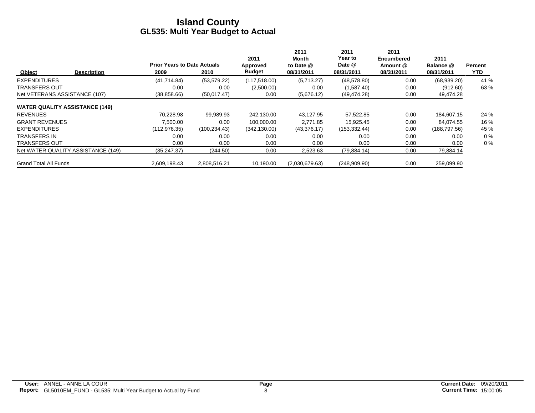|                                       | <b>Prior Years to Date Actuals</b> |               | 2011<br>Approved | 2011<br>Month<br>to Date @ | 2011<br>Year to<br>Date @ | 2011<br><b>Encumbered</b><br>Amount @ | 2011<br>Balance @ | Percent    |
|---------------------------------------|------------------------------------|---------------|------------------|----------------------------|---------------------------|---------------------------------------|-------------------|------------|
| Object<br><b>Description</b>          | 2009                               | 2010          | <b>Budget</b>    | 08/31/2011                 | 08/31/2011                | 08/31/2011                            | 08/31/2011        | <b>YTD</b> |
| <b>EXPENDITURES</b>                   | (41, 714.84)                       | (53, 579.22)  | (117, 518.00)    | (5,713.27)                 | (48, 578.80)              | 0.00                                  | (68,939.20)       | 41 %       |
| <b>TRANSFERS OUT</b>                  | 0.00                               | 0.00          | (2,500.00)       | 0.00                       | (1,587.40)                | 0.00                                  | (912.60)          | 63 %       |
| Net VETERANS ASSISTANCE (107)         | (38, 858.66)                       | (50,017.47)   | 0.00             | (5,676.12)                 | (49, 474.28)              | 0.00                                  | 49,474.28         |            |
| <b>WATER QUALITY ASSISTANCE (149)</b> |                                    |               |                  |                            |                           |                                       |                   |            |
| <b>REVENUES</b>                       | 70.228.98                          | 99,989.93     | 242.130.00       | 43,127.95                  | 57,522.85                 | 0.00                                  | 184,607.15        | 24 %       |
| <b>GRANT REVENUES</b>                 | 7.500.00                           | 0.00          | 100.000.00       | 2.771.85                   | 15.925.45                 | 0.00                                  | 84.074.55         | 16 %       |
| <b>EXPENDITURES</b>                   | (112, 976.35)                      | (100, 234.43) | (342, 130.00)    | (43,376.17)                | (153, 332.44)             | 0.00                                  | (188, 797.56)     | 45 %       |
| <b>TRANSFERS IN</b>                   | 0.00                               | 0.00          | 0.00             | 0.00                       | 0.00                      | 0.00                                  | 0.00              | $0\%$      |
| <b>TRANSFERS OUT</b>                  | 0.00                               | 0.00          | 0.00             | 0.00                       | 0.00                      | 0.00                                  | 0.00              | $0\%$      |
| Net WATER QUALITY ASSISTANCE (149)    | (35, 247.37)                       | (244.50)      | 0.00             | 2,523.63                   | (79, 884.14)              | 0.00                                  | 79,884.14         |            |
| <b>Grand Total All Funds</b>          | 2.609.198.43                       | 2.808.516.21  | 10.190.00        | (2,030,679.63)             | (248,909.90)              | 0.00                                  | 259.099.90        |            |